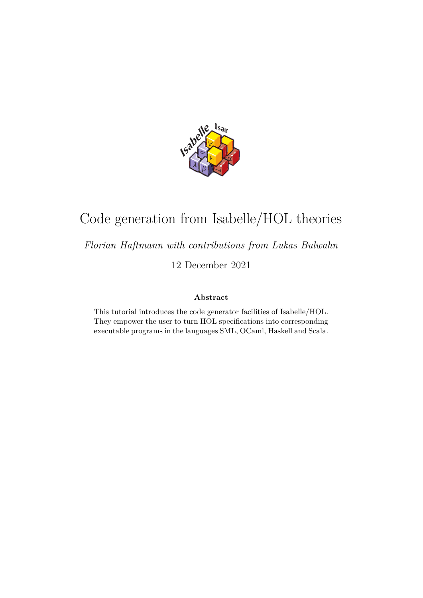

# Code generation from Isabelle/HOL theories

*Florian Haftmann with contributions from Lukas Bulwahn*

12 December 2021

#### **Abstract**

This tutorial introduces the code generator facilities of Isabelle/HOL. They empower the user to turn HOL specifications into corresponding executable programs in the languages SML, OCaml, Haskell and Scala.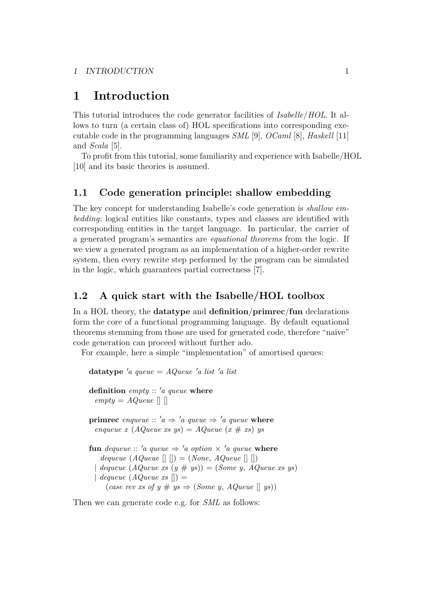## **1 Introduction**

This tutorial introduces the code generator facilities of *Isabelle*/*HOL*. It allows to turn (a certain class of) HOL specifications into corresponding executable code in the programming languages *SML* [\[9\]](#page-49-0), *OCaml* [\[8\]](#page-49-1), *Haskell* [\[11\]](#page-49-2) and *Scala* [\[5\]](#page-49-3).

To profit from this tutorial, some familiarity and experience with Isabelle/HOL [\[10\]](#page-49-4) and its basic theories is assumed.

## <span id="page-1-4"></span>**1.1 Code generation principle: shallow embedding**

The key concept for understanding Isabelle's code generation is *shallow embedding*: logical entities like constants, types and classes are identified with corresponding entities in the target language. In particular, the carrier of a generated program's semantics are *equational theorems* from the logic. If we view a generated program as an implementation of a higher-order rewrite system, then every rewrite step performed by the program can be simulated in the logic, which guarantees partial correctness [\[7\]](#page-49-5).

## <span id="page-1-5"></span>**1.2 A quick start with the Isabelle/HOL toolbox**

In a HOL theory, the **[datatype](#page-1-0)** and **[definition](#page-1-1)**/**[primrec](#page-1-2)**/**[fun](#page-1-3)** declarations form the core of a functional programming language. By default equational theorems stemming from those are used for generated code, therefore "naive" code generation can proceed without further ado.

<span id="page-1-1"></span><span id="page-1-0"></span>For example, here a simple "implementation" of amortised queues:

<span id="page-1-3"></span><span id="page-1-2"></span>**datatype**  $'a$  queue =  $AQueue$   $'a$  list  $'a$  list **definition** *empty* :: 'a *queue* **where**  $empty = AQueue \cap$ **primrec** *enqueue* ::  $'a \Rightarrow 'a$  *queue*  $\Rightarrow 'a$  *queue* **where**  $\text{triangle } x \text{ (}A\text{Queue xs } \text{ys)} = A\text{Queue } \text{ (}x \# \text{ xs)} \text{ ys}$ **fun** *dequeue* :: '*a queue*  $\Rightarrow$  '*a option*  $\times$  '*a queue* **where** *dequeue*  $(AQueue \rvert \rvert \rvert) = (None, AQueue \rvert \rvert \rvert)$  $dequeue(AQueue xs (y # ys)) = (Some y, AQueue xs ys)$  $dequeue(AQueue xs$   $\vert\vert) =$ (*case rev xs of y*  $\#$  *ys*  $\Rightarrow$  (*Some y, AQueue* [] *ys*))

Then we can generate code e.g. for *SML* as follows: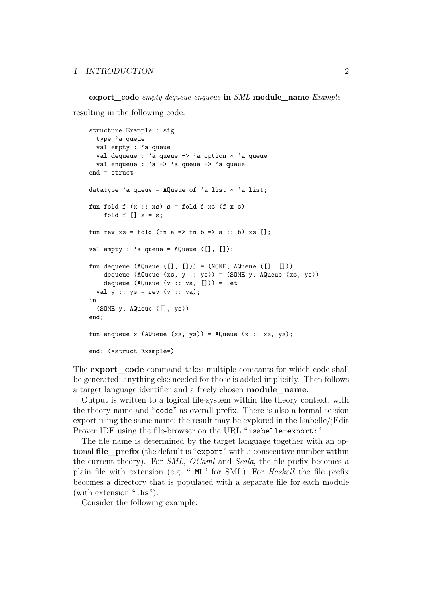**export\_code** *empty dequeue enqueue* **in** *SML* **module\_name** *Example* resulting in the following code:

```
structure Example : sig
  type 'a queue
 val empty : 'a queue
 val dequeue : 'a queue -> 'a option * 'a queue
 val enqueue : 'a -> 'a queue -> 'a queue
end = struct
datatype 'a queue = AQueue of 'a list * 'a list;
fun fold f(x:: xs) s = fold f xs (f x s)| fold f | s = s;
fun rev xs = fold (fn a => fn b => a :: b) xs [];
val empty : 'a queue = \text{AQueue } ([], []);fun dequeue (AQueue ([], [])) = (NONE, AQueue ([], []))
  | dequeue (AQueue (xs, y :: ys)) = (SOME y, AQueue (xs, ys))
  | dequeue (AQueue (v :: va, [])) = let
 val y :: ys = rev (v :: va);in
  (SOME y, AQueue ([], ys))
end;
fun enqueue x (AQueue (xs, ys)) = AQueue (x :: xs, ys);end; (*struct Example*)
```
<span id="page-2-0"></span>The **[export\\_code](#page-2-0)** command takes multiple constants for which code shall be generated; anything else needed for those is added implicitly. Then follows a target language identifier and a freely chosen **module\_name**.

Output is written to a logical file-system within the theory context, with the theory name and "code" as overall prefix. There is also a formal session export using the same name: the result may be explored in the Isabelle/jEdit Prover IDE using the file-browser on the URL "isabelle-export:".

The file name is determined by the target language together with an optional **file\_prefix** (the default is "export" with a consecutive number within the current theory). For *SML*, *OCaml* and *Scala*, the file prefix becomes a plain file with extension (e.g. ".ML" for SML). For *Haskell* the file prefix becomes a directory that is populated with a separate file for each module (with extension ".hs").

Consider the following example: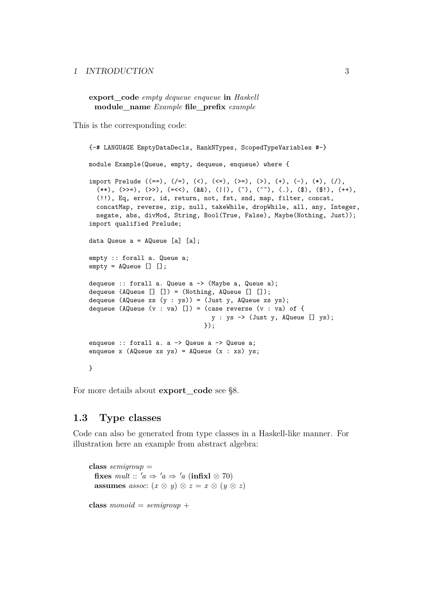**export\_code** *empty dequeue enqueue* **in** *Haskell* **module\_name** *Example* **file\_prefix** *example*

This is the corresponding code:

```
{-# LANGUAGE EmptyDataDecls, RankNTypes, ScopedTypeVariables #-}
module Example(Queue, empty, dequeue, enqueue) where {
import Prelude ((==), (/=), (<), (<=), (>=), (>), (+), (-), (*), (/),
  (**), (\gg)=), (\gg), (=\ll), (\&\&), (||), (\hat{ }), (\hat{ }), (\hat{ }), ( ,), (\hat{ }), (\hat{ }), (\hat{ }), (+),(!!), Eq, error, id, return, not, fst, snd, map, filter, concat,
  concatMap, reverse, zip, null, takeWhile, dropWhile, all, any, Integer,
  negate, abs, divMod, String, Bool(True, False), Maybe(Nothing, Just));
import qualified Prelude;
data Queue a = AQueue [a] [a];
empty :: forall a. Queue a;
empty = AQueue [] [];
dequeue :: forall a. Queue a -> (Maybe a, Queue a);
dequeue (AQueue [] []) = (Nothing, AQueue [] []);
dequeue (AQueue xs (y : ys)) = (Just y, AQueue xs ys);
dequeue (AQueue (v : va) []) = (case reverse (v : va) of {
                                   y : ys -> (Just y, AQueue [] ys);
                                 });
enqueue :: forall a. a -> Queue a -> Queue a;
enqueue x (AQueue xs ys) = AQueue (x : xs) ys;
}
```
For more details about **[export\\_code](#page-2-0)** see [§8.](#page-45-0)

## **1.3 Type classes**

Code can also be generated from type classes in a Haskell-like manner. For illustration here an example from abstract algebra:

**class** *semigroup* = **fixes**  $mult :: 'a \Rightarrow 'a \Rightarrow 'a$  (**infix**l  $\otimes$  70) **assumes** *assoc*:  $(x \otimes y) \otimes z = x \otimes (y \otimes z)$ **class**  $monoid = semigroup +$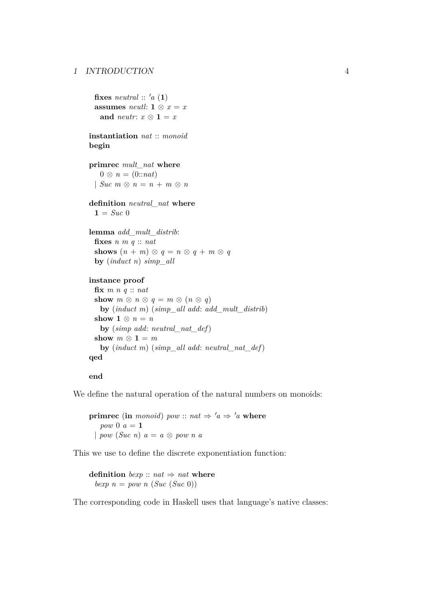**fixes** *neutral* ::  $'a(1)$ **assumes** *neutl*:  $\mathbf{1} \otimes x = x$ **and** *neutr*:  $x \otimes 1 = x$ 

**instantiation** *nat* :: *monoid* **begin**

**primrec** *mult\_nat* **where**  $0 \otimes n = (0::nat)$  $\mid$  *Suc*  $m \otimes n = n + m \otimes n$ 

**definition** *neutral\_nat* **where**  $1 = Suc$  0

**lemma** *add\_mult\_distrib*: **fixes** *n m q* :: *nat* **shows**  $(n + m) \otimes q = n \otimes q + m \otimes q$ **by** (*induct n*) *simp\_all*

#### **instance proof**

**fix** *m n q* :: *nat* **show**  $m \otimes n \otimes q = m \otimes (n \otimes q)$ **by** (*induct m*) (*simp\_all add*: *add\_mult\_distrib*) **show**  $1 \otimes n = n$ **by** (*simp add*: *neutral\_nat\_def*) **show**  $m \otimes 1 = m$ **by** (*induct m*) (*simp\_all add*: *neutral\_nat\_def*) **qed**

#### **end**

We define the natural operation of the natural numbers on monoids:

**primrec** (**in** *monoid*) *pow* :: *nat*  $\Rightarrow$   $'a \Rightarrow 'a$  **where** *pow* 0  $a = 1$ | *pow* (*Suc n*) *a* = *a* ⊗ *pow n a*

This we use to define the discrete exponentiation function:

**definition** *bexp* ::  $nat \Rightarrow nat$  **where** *bexp*  $n = pow n (Suc (Suc 0))$ 

The corresponding code in Haskell uses that language's native classes: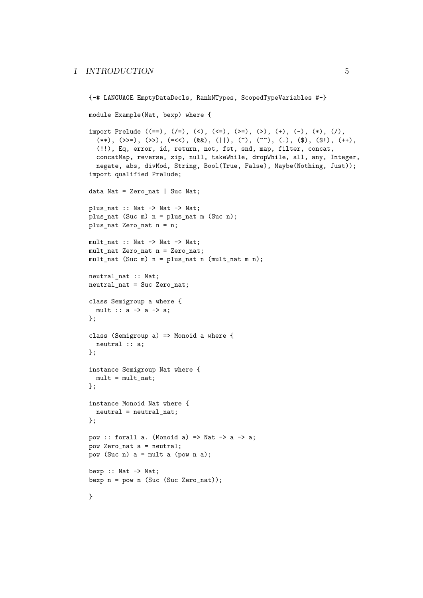```
{-# LANGUAGE EmptyDataDecls, RankNTypes, ScopedTypeVariables #-}
module Example(Nat, bexp) where {
import Prelude ((==), (/=), (<), (<=), (>=), (>), (+), (-), (*), (/),
  (**), (\gg)=), (\gg), (=\ll), (\&\&), (||), (\hat{ }), (\hat{ }), (\hat{ }), ( ,), (\hat{ }), (\hat{ }), (\hat{ }), (+),(!!), Eq, error, id, return, not, fst, snd, map, filter, concat,
  concatMap, reverse, zip, null, takeWhile, dropWhile, all, any, Integer,
  negate, abs, divMod, String, Bool(True, False), Maybe(Nothing, Just));
import qualified Prelude;
data Nat = Zero_nat | Suc Nat;
plus_nat :: Nat -> Nat -> Nat;
plus_nat (Suc m) n = plus_nat m (Suc n);
plus_nat Zero_nat n = n;
mult_nat :: Nat -> Nat -> Nat;
mult_nat Zero_nat n = Zero_nat;
mult_nat (Suc m) n = plus_nat n (mult_nat m n);
neutral_nat :: Nat;
neutral_nat = Suc Zero_nat;
class Semigroup a where {
 mult :: a \rightarrow a \rightarrow a;
};
class (Semigroup a) => Monoid a where {
 neutral :: a;
};
instance Semigroup Nat where {
 mult = mult_nat;};
instance Monoid Nat where {
 neutral = neutral_nat;
};
pow :: forall a. (Monoid a) => Nat -> a -> a;
pow Zero_nat a = neutral;
pow (Suc n) a = mult a (pow n a);
bexp :: Nat \rightarrow Nat;
bexp n = pow n (Suc (Suc Zero nat));
}
```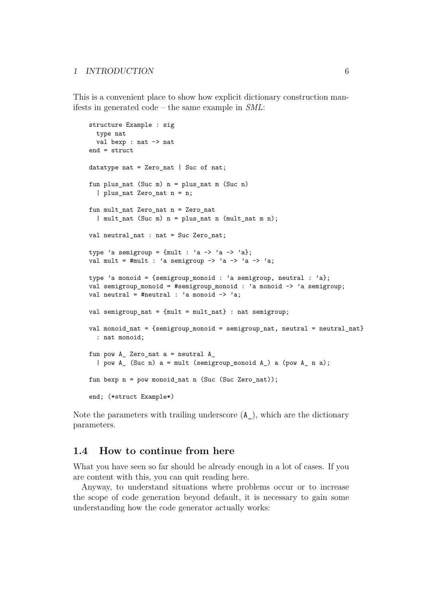This is a convenient place to show how explicit dictionary construction manifests in generated code – the same example in *SML*:

```
structure Example : sig
 type nat
 val bexp : nat -> nat
end = struct
datatype nat = Zero nat | Suc of nat;
fun plus nat (Suc m) n = plus nat m (Suc n)
  | plus_nat Zero_nat n = n;
fun mult_nat Zero_nat n = Zero_nat
  | mult_nat (Suc m) n = plus_nat n (mult_nat m n);
val neutral_nat : nat = Suc Zero_nat;
type 'a semigroup = {mult : 'a \rightarrow 'a \rightarrow 'a};val mult = \text{#mult} : 'a semigroup -> 'a -> 'a -> 'a;
type 'a monoid = {semigroup_monoid : 'a semigroup, neutral : 'a};
val semigroup_monoid = #semigroup_monoid : 'a monoid -> 'a semigroup;
val neutral = #neutral : 'a monoid \rightarrow 'a;
val semigroup_nat = {mult = mult_nat} : nat semigroup;
val monoid nat = {semigroup monoid = semigroup nat, neutral = neutral nat}
  : nat monoid;
fun pow A_ Zero_nat a = neutral A_| pow A_ (Suc n) a = mult (semigroup_monoid A_) a (pow A_ n a);
fun bexp n = pow monoid_nat n (Suc (Suc Zero_nat));
end; (*struct Example*)
```
Note the parameters with trailing underscore  $(A)$ , which are the dictionary parameters.

## **1.4 How to continue from here**

What you have seen so far should be already enough in a lot of cases. If you are content with this, you can quit reading here.

Anyway, to understand situations where problems occur or to increase the scope of code generation beyond default, it is necessary to gain some understanding how the code generator actually works: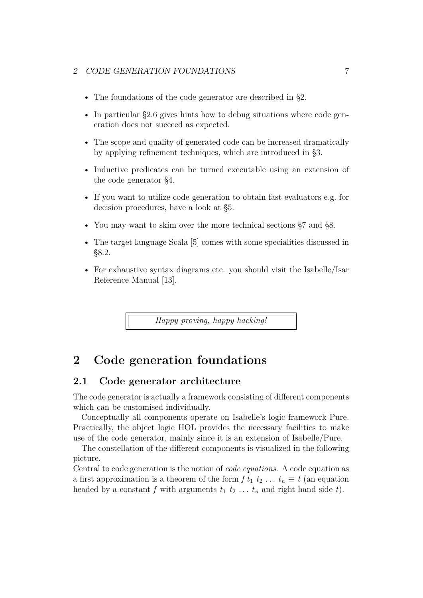#### 2 CODE GENERATION FOUNDATIONS  $7$

- The foundations of the code generator are described in [§2.](#page-7-0)
- In particular [§2.6](#page-13-0) gives hints how to debug situations where code generation does not succeed as expected.
- The scope and quality of generated code can be increased dramatically by applying refinement techniques, which are introduced in [§3.](#page-14-0)
- Inductive predicates can be turned executable using an extension of the code generator [§4.](#page-20-0)
- If you want to utilize code generation to obtain fast evaluators e.g. for decision procedures, have a look at [§5.](#page-24-0)
- You may want to skim over the more technical sections  $\S 7$  and  $\S 8$ .
- The target language Scala [\[5\]](#page-49-3) comes with some specialities discussed in [§8.2.](#page-46-0)
- For exhaustive syntax diagrams etc. you should visit the Isabelle/Isar Reference Manual [\[13\]](#page-50-0).

*Happy proving, happy hacking!*

## <span id="page-7-0"></span>**2 Code generation foundations**

### **2.1 Code generator architecture**

The code generator is actually a framework consisting of different components which can be customised individually.

Conceptually all components operate on Isabelle's logic framework Pure. Practically, the object logic HOL provides the necessary facilities to make use of the code generator, mainly since it is an extension of Isabelle/Pure.

The constellation of the different components is visualized in the following picture.

Central to code generation is the notion of *code equations*. A code equation as a first approximation is a theorem of the form  $f t_1 t_2 \ldots t_n \equiv t$  (an equation headed by a constant *f* with arguments  $t_1$   $t_2$  ...  $t_n$  and right hand side *t*).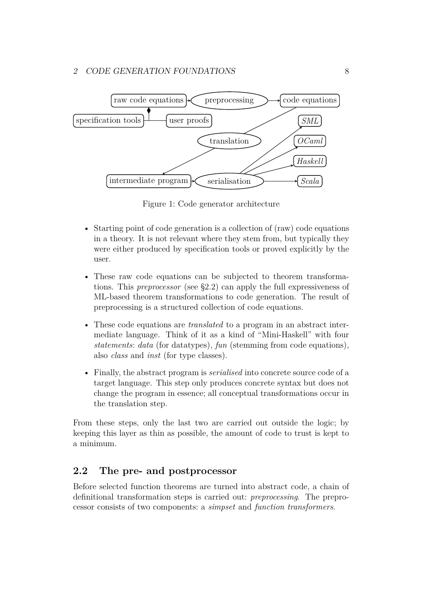

Figure 1: Code generator architecture

- Starting point of code generation is a collection of (raw) code equations in a theory. It is not relevant where they stem from, but typically they were either produced by specification tools or proved explicitly by the user.
- These raw code equations can be subjected to theorem transformations. This *preprocessor* (see [§2.2\)](#page-8-0) can apply the full expressiveness of ML-based theorem transformations to code generation. The result of preprocessing is a structured collection of code equations.
- These code equations are *translated* to a program in an abstract intermediate language. Think of it as a kind of "Mini-Haskell" with four *statements*: *data* (for datatypes), *fun* (stemming from code equations), also *class* and *inst* (for type classes).
- Finally, the abstract program is *serialised* into concrete source code of a target language. This step only produces concrete syntax but does not change the program in essence; all conceptual transformations occur in the translation step.

From these steps, only the last two are carried out outside the logic; by keeping this layer as thin as possible, the amount of code to trust is kept to a minimum.

## <span id="page-8-0"></span>**2.2 The pre- and postprocessor**

Before selected function theorems are turned into abstract code, a chain of definitional transformation steps is carried out: *preprocessing*. The preprocessor consists of two components: a *simpset* and *function transformers*.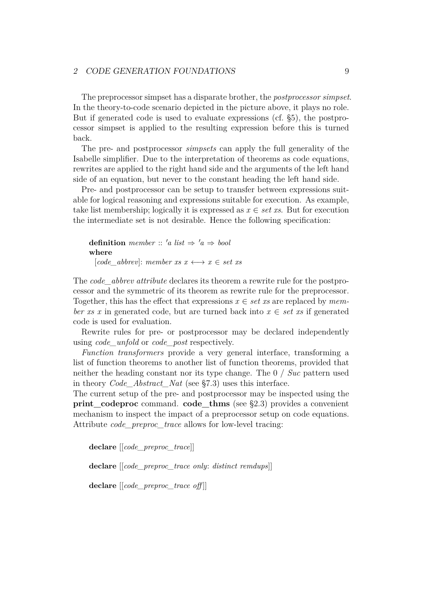#### 2 CODE GENERATION FOUNDATIONS 9

The preprocessor simpset has a disparate brother, the *postprocessor simpset*. In the theory-to-code scenario depicted in the picture above, it plays no role. But if generated code is used to evaluate expressions (cf. [§5\)](#page-24-0), the postprocessor simpset is applied to the resulting expression before this is turned back.

The pre- and postprocessor *simpsets* can apply the full generality of the Isabelle simplifier. Due to the interpretation of theorems as code equations, rewrites are applied to the right hand side and the arguments of the left hand side of an equation, but never to the constant heading the left hand side.

Pre- and postprocessor can be setup to transfer between expressions suitable for logical reasoning and expressions suitable for execution. As example, take list membership; logically it is expressed as  $x \in set xs$ . But for execution the intermediate set is not desirable. Hence the following specification:

```
definition member :: 'a list \Rightarrow 'a \Rightarrow bool
where
  [code \; abbrev]: member xs x \longleftrightarrow x \in set xs
```
The *[code\\_abbrev](#page-50-1) attribute* declares its theorem a rewrite rule for the postprocessor and the symmetric of its theorem as rewrite rule for the preprocessor. Together, this has the effect that expressions  $x \in set$  *xs* are replaced by *member xs x* in generated code, but are turned back into  $x \in set$  *xs* if generated code is used for evaluation.

Rewrite rules for pre- or postprocessor may be declared independently using *[code\\_unfold](#page-50-1)* or *[code\\_post](#page-50-1)* respectively.

*Function transformers* provide a very general interface, transforming a list of function theorems to another list of function theorems, provided that neither the heading constant nor its type change. The 0 / *Suc* pattern used in theory *Code\_Abstract\_Nat* (see [§7.3\)](#page-40-0) uses this interface.

<span id="page-9-0"></span>The current setup of the pre- and postprocessor may be inspected using the **print** codeproc command. **code** thms (see [§2.3\)](#page-10-0) provides a convenient mechanism to inspect the impact of a preprocessor setup on code equations. Attribute *[code\\_preproc\\_trace](#page-50-1)* allows for low-level tracing:

<span id="page-9-1"></span>**declare** [[*code\_preproc\_trace*]]

**declare** [[*code\_preproc\_trace only*: *distinct remdups*]]

**declare** [[*code\_preproc\_trace off* ]]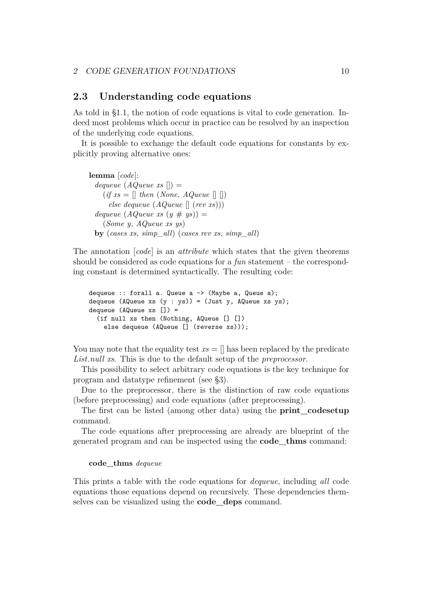### <span id="page-10-0"></span>**2.3 Understanding code equations**

As told in [§1.1,](#page-1-4) the notion of code equations is vital to code generation. Indeed most problems which occur in practice can be resolved by an inspection of the underlying code equations.

It is possible to exchange the default code equations for constants by explicitly proving alternative ones:

**lemma** [*code*]:  $dequeue(AQueue xs$   $\Box)$  =  $(if xs = [] then (None, AQueue []$ *else dequeue* (*AQueue* [] (*rev xs*))) *dequeue*  $(AQueue xs (y # ys)) =$ (*Some y*, *AQueue xs ys*) **by** (*cases xs*, *simp\_all*) (*cases rev xs*, *simp\_all*)

The annotation [*code*] is an *attribute* which states that the given theorems should be considered as code equations for a *fun* statement – the corresponding constant is determined syntactically. The resulting code:

```
dequeue :: forall a. Queue a \rightarrow (Maybe a, Queue a);
dequeue (AQueue xs (y : ys)) = (Just y, AQueue xs ys);
dequeue (AQueue xs []) =
  (if null xs then (Nothing, AQueue [] [])
    else dequeue (AQueue [] (reverse xs)));
```
You may note that the equality test  $xs = \parallel$  has been replaced by the predicate *List*.*null xs*. This is due to the default setup of the *preprocessor*.

This possibility to select arbitrary code equations is the key technique for program and datatype refinement (see [§3\)](#page-14-0).

Due to the preprocessor, there is the distinction of raw code equations (before preprocessing) and code equations (after preprocessing).

The first can be listed (among other data) using the **[print\\_codesetup](#page-10-1)** command.

The code equations after preprocessing are already are blueprint of the generated program and can be inspected using the **[code\\_thms](#page-9-1)** command:

#### <span id="page-10-2"></span><span id="page-10-1"></span>**code\_thms** *dequeue*

This prints a table with the code equations for *dequeue*, including *all* code equations those equations depend on recursively. These dependencies themselves can be visualized using the **[code\\_deps](#page-10-2)** command.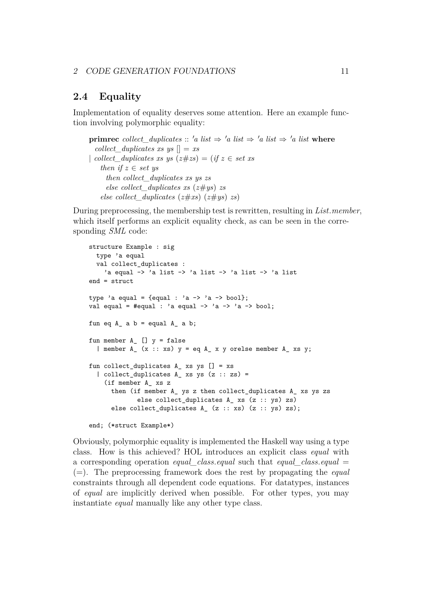## **2.4 Equality**

Implementation of equality deserves some attention. Here an example function involving polymorphic equality:

**primrec** *collect* duplicates :: 'a list  $\Rightarrow$  'a list  $\Rightarrow$  'a list  $\Rightarrow$  'a list where *collect\_duplicates xs ys*  $\vert \vert = xs$ | *collect* duplicates xs ys  $(z \# zs) = (if z \in set xs)$ *then if*  $z \in set$  *us then collect\_duplicates xs ys zs else collect\_duplicates xs* (*z*#*ys*) *zs else collect\_duplicates* (*z*#*xs*) (*z*#*ys*) *zs*)

During preprocessing, the membership test is rewritten, resulting in *List*.*member*, which itself performs an explicit equality check, as can be seen in the corresponding *SML* code:

```
structure Example : sig
 type 'a equal
 val collect_duplicates :
    'a equal -> 'a list -> 'a list -> 'a list -> 'a list
end = struct
type 'a equal = {equal : 'a -> 'a -> bool};
val equal = #equal : 'a equal \rightarrow 'a \rightarrow 'a \rightarrow bool;
fun eq A a b = equal A a b;
fun member A_{-} [] y = false| member A_ (x :: xs) y = eq A_ x y orelse member A_ xs y;
fun collect_duplicates A xs ys [] = xs| collect_duplicates A_ xs ys (z :: zs) =
    (if member A_ xs z
      then (if member A_ ys z then collect_duplicates A_ xs ys zs
             else collect_duplicates A_ xs (z :: ys) zs)
      else collect_duplicates A_ (z :: xs) (z :: ys) zs);
end; (*struct Example*)
```
Obviously, polymorphic equality is implemented the Haskell way using a type class. How is this achieved? HOL introduces an explicit class *equal* with a corresponding operation *equal\_class*.*equal* such that *equal\_class*.*equal* = (=). The preprocessing framework does the rest by propagating the *equal* constraints through all dependent code equations. For datatypes, instances of *equal* are implicitly derived when possible. For other types, you may instantiate *equal* manually like any other type class.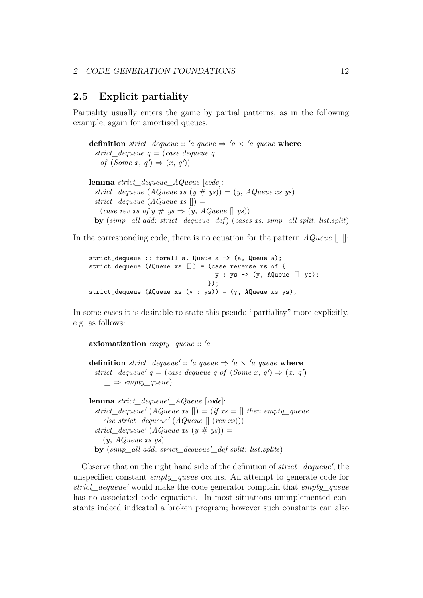## <span id="page-12-0"></span>**2.5 Explicit partiality**

Partiality usually enters the game by partial patterns, as in the following example, again for amortised queues:

**definition** *strict* dequeue ::  $'a$  queue  $\Rightarrow 'a \times 'a$  queue **where** *strict\_dequeue q* = (*case dequeue q of*  $(Some x, q') \Rightarrow (x, q')$ 

**lemma** *strict\_dequeue\_AQueue* [*code*]: *strict\_dequeue*  $(AQueue xs (y # ys)) = (y, AQueue xs ys))$ *strict\_dequeue* (*AQueue xs*  $[$ ) =  $(\text{case rev} \text{xs of } y \# \text{ys} \Rightarrow (y, AQueue \parallel \text{ys}))$ **by** (*simp\_all add*: *strict\_dequeue\_def*) (*cases xs*, *simp\_all split*: *list*.*split*)

In the corresponding code, there is no equation for the pattern *AQueue* [] []:

```
strict dequeue :: forall a. Queue a \rightarrow (a, Queue a);
strict_dequeue (AQueue xs []) = (case reverse xs of {
                                   y : ys -> (y, AQueue [] ys);
                                  });
strict_dequeue (AQueue xs (y : ys)) = (y, AQueue xs ys);
```
In some cases it is desirable to state this pseudo-"partiality" more explicitly, e.g. as follows:

```
axiomatization empty queue :: a
```
**definition** *strict\_dequeue'* :: 'a queue  $\Rightarrow$  'a  $\times$  'a queue **where**  $strict\_dequeue'$   $q = (case\,\,dequeue\,\,q\,\,of\,\,(Some\,\,x,\,q') \Rightarrow (x,\,q')$  $|\Rightarrow \text{empty queue}|\$ 

**lemma** *strict* dequeue<sup>'</sup>  $AQueue$  [*code*]:  $strict\_dequeue' (AQueue \; xs \; ||) = (if \; xs = || \; then \; empty\_queue$  $else \; strict\_dequeue' \; (AQueue \; || \; (rev \; xs)))$  $strict\_dequeue' (AQueue \, xs \, (y \# \, ys)) =$ (*y*, *AQueue xs ys*)  $\frac{dy}{dx}$  ( $\frac{\sinh{u}}{\sinh{u}}$  add:  $\frac{\sinh{u}}{\cosh{u}}$  dequeue<sup>'</sup> def split: *list*.*splits*)

Observe that on the right hand side of the definition of *strict\_dequeue'*, the unspecified constant *empty\_queue* occurs. An attempt to generate code for *strict\_dequeue'* would make the code generator complain that *empty\_queue* has no associated code equations. In most situations unimplemented constants indeed indicated a broken program; however such constants can also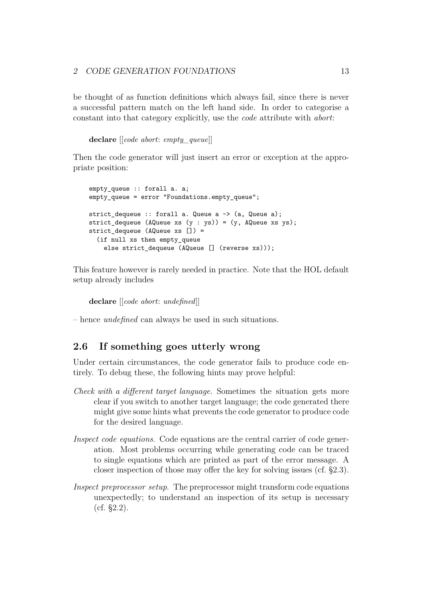be thought of as function definitions which always fail, since there is never a successful pattern match on the left hand side. In order to categorise a constant into that category explicitly, use the *[code](#page-50-1)* attribute with *abort*:

**declare** [[*code abort*: *empty\_queue*]]

Then the code generator will just insert an error or exception at the appropriate position:

```
empty_queue :: forall a. a;
empty_queue = error "Foundations.empty_queue";
strict_dequeue :: forall a. Queue a -> (a, Queue a);
strict_dequeue (AQueue xs (y : ys)) = (y, AQ)ueue xs ys);
strict dequeue (AQueue xs []) =
  (if null xs then empty_queue
   else strict_dequeue (AQueue [] (reverse xs)));
```
This feature however is rarely needed in practice. Note that the HOL default setup already includes

**declare** [[*code abort*: *undefined*]]

– hence *undefined* can always be used in such situations.

## <span id="page-13-0"></span>**2.6 If something goes utterly wrong**

Under certain circumstances, the code generator fails to produce code entirely. To debug these, the following hints may prove helpful:

- *Check with a different target language*. Sometimes the situation gets more clear if you switch to another target language; the code generated there might give some hints what prevents the code generator to produce code for the desired language.
- *Inspect code equations*. Code equations are the central carrier of code generation. Most problems occurring while generating code can be traced to single equations which are printed as part of the error message. A closer inspection of those may offer the key for solving issues (cf. [§2.3\)](#page-10-0).
- *Inspect preprocessor setup*. The preprocessor might transform code equations unexpectedly; to understand an inspection of its setup is necessary (cf. [§2.2\)](#page-8-0).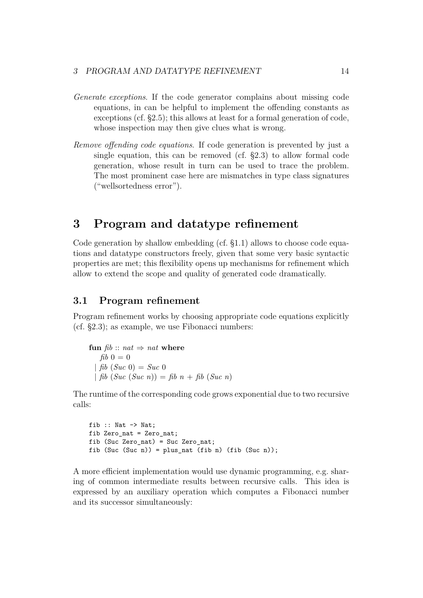- *Generate exceptions*. If the code generator complains about missing code equations, in can be helpful to implement the offending constants as exceptions (cf. [§2.5\)](#page-12-0); this allows at least for a formal generation of code, whose inspection may then give clues what is wrong.
- *Remove offending code equations*. If code generation is prevented by just a single equation, this can be removed (cf. [§2.3\)](#page-10-0) to allow formal code generation, whose result in turn can be used to trace the problem. The most prominent case here are mismatches in type class signatures ("wellsortedness error").

## <span id="page-14-0"></span>**3 Program and datatype refinement**

Code generation by shallow embedding (cf. [§1.1\)](#page-1-4) allows to choose code equations and datatype constructors freely, given that some very basic syntactic properties are met; this flexibility opens up mechanisms for refinement which allow to extend the scope and quality of generated code dramatically.

### **3.1 Program refinement**

Program refinement works by choosing appropriate code equations explicitly (cf. [§2.3\)](#page-10-0); as example, we use Fibonacci numbers:

**fun**  $fib$  ::  $nat \Rightarrow nat$  where  $fib$  0 = 0 | *fib* (*Suc* 0) = *Suc* 0 |  $\int$ *fib* (*Suc* (*Suc n*)) =  $\int$ *fib*  $n + \int$ *fib* (*Suc n*)

The runtime of the corresponding code grows exponential due to two recursive calls:

```
fib :: Nat -> Nat:
fib Zero_nat = Zero_nat;
fib (Suc Zero_nat) = Suc Zero_nat;
fib (Suc (Suc n)) = plus_nat (fib n) (fib (Suc n));
```
A more efficient implementation would use dynamic programming, e.g. sharing of common intermediate results between recursive calls. This idea is expressed by an auxiliary operation which computes a Fibonacci number and its successor simultaneously: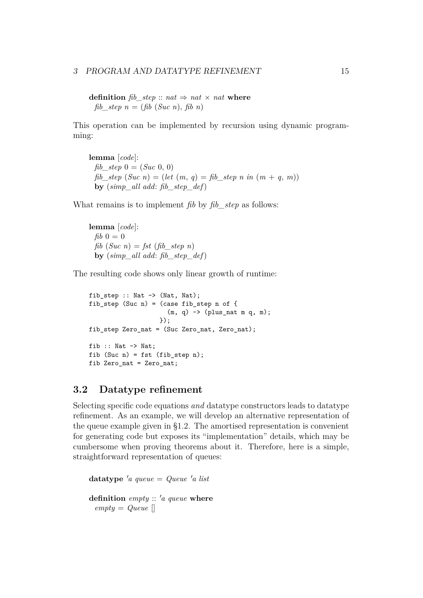#### 3 PROGRAM AND DATATYPE REFINEMENT 15

**definition** *fib step* :: *nat*  $\Rightarrow$  *nat*  $\times$  *nat* **where** *fib\_step n* = (*fib* (*Suc n*), *fib n*)

This operation can be implemented by recursion using dynamic programming:

**lemma** [*code*]: *fib\_step*  $0 = (Suc \ 0, 0)$ *fib\_step* (*Suc n*) = (*let*  $(m, q) = fh$  *step n in*  $(m + q, m)$ ) **by** (*simp\_all add*: *fib\_step\_def*)

What remains is to implement *fib* by *fib\_step* as follows:

**lemma** [*code*]:  $fib\ 0=0$ *fib*  $(Suc\ n) = \int st\ (fib\ step\ n)$ **by** (*simp\_all add*: *fib\_step\_def*)

The resulting code shows only linear growth of runtime:

fib\_step :: Nat -> (Nat, Nat); fib\_step (Suc n) = (case fib\_step n of {  $(m, q)$  -> (plus\_nat m q, m); }); fib\_step Zero\_nat = (Suc Zero\_nat, Zero\_nat); fib :: Nat  $\rightarrow$  Nat; fib (Suc n) = fst (fib step n); fib Zero\_nat = Zero\_nat;

## **3.2 Datatype refinement**

Selecting specific code equations *and* datatype constructors leads to datatype refinement. As an example, we will develop an alternative representation of the queue example given in [§1.2.](#page-1-5) The amortised representation is convenient for generating code but exposes its "implementation" details, which may be cumbersome when proving theorems about it. Therefore, here is a simple, straightforward representation of queues:

**datatype**  $'a$  queue = Queue  $'a$  list **definition** *empty* :: '*a queue* **where** *empty* = *Queue* []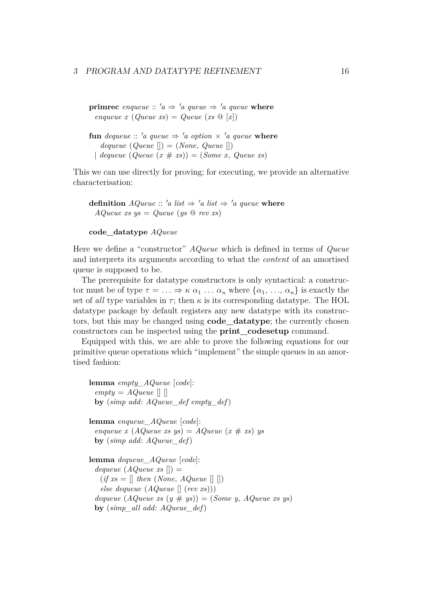**primrec** enqueue ::  $a \Rightarrow a$  queue  $\Rightarrow a$  queue where  $\text{image } x \text{ (Queue } xs) = Queue (xs \text{ @ } [x])$ 

**fun** *dequeue* :: 'a queue  $\Rightarrow$  'a option  $\times$  'a queue where  $dequeue$  (*Queue*  $\vert\vert$ ) = (*None*, *Queue*  $\vert\vert$ )  $\downarrow$  *dequeue* (*Queue* (*x* # *xs*)) = (*Some x*, *Queue xs*)

This we can use directly for proving; for executing, we provide an alternative characterisation:

**definition**  $AQueue :: 'a list \Rightarrow 'a list \Rightarrow 'a queue where$ *AQueue xs ys* = *Queue* (*ys* @ *rev xs*)

#### **code\_datatype** *AQueue*

Here we define a "constructor" *AQueue* which is defined in terms of *Queue* and interprets its arguments according to what the *content* of an amortised queue is supposed to be.

The prerequisite for datatype constructors is only syntactical: a constructor must be of type  $\tau = \ldots \Rightarrow \kappa \alpha_1 \ldots \alpha_n$  where  $\{\alpha_1, \ldots, \alpha_n\}$  is exactly the set of *all* type variables in  $\tau$ ; then  $\kappa$  is its corresponding datatype. The HOL datatype package by default registers any new datatype with its constructors, but this may be changed using **[code\\_datatype](#page-16-0)**; the currently chosen constructors can be inspected using the **[print\\_codesetup](#page-10-1)** command.

Equipped with this, we are able to prove the following equations for our primitive queue operations which "implement" the simple queues in an amortised fashion:

```
lemma empty_AQueue [code]:
 empty = AQueue \capby (simp add: AQueue_def empty_def)
lemma enqueue_AQueue [code]:
 enqueue x(AQueuexsys) = AQueue(x#xs)ysby (simp add: AQueue_def)
lemma dequeue_AQueue [code]:
 dequeue(AQueue xs |) =(if xs = [] then (None, AQueue []else dequeue (AQueue [] (rev xs)))
 dequeue (AQueue xs (y # ys)) = (Some y, AQueue xs ys))by (simp_all add: AQueue_def)
```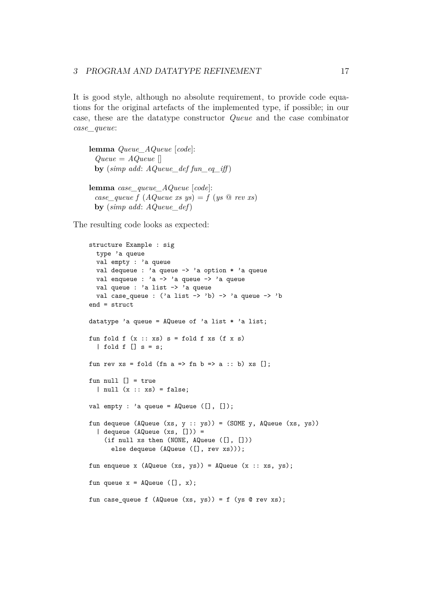It is good style, although no absolute requirement, to provide code equations for the original artefacts of the implemented type, if possible; in our case, these are the datatype constructor *Queue* and the case combinator *case\_queue*:

**lemma** *Queue\_AQueue* [*code*]: *Queue* = *AQueue* [] **by** (*simp add: AQueue def fun eq iff*) **lemma** *case\_queue\_AQueue* [*code*]: *case\_queue f*  $(AQueue xs ys) = f (ys @ rev xs)$ **by** (*simp add*: *AQueue\_def*)

The resulting code looks as expected:

```
structure Example : sig
 type 'a queue
  val empty : 'a queue
 val dequeue : 'a queue -> 'a option * 'a queue
 val enqueue : 'a -> 'a queue -> 'a queue
 val queue : 'a list -> 'a queue
 val case_queue : ('a list -> 'b) -> 'a queue -> 'bend = struct
datatype 'a queue = AQueue of 'a list * 'a list;
fun fold f(x:: xs) s = fold f xs (f x s)| fold f [] s = s;
fun rev xs = fold (fn a => fn b => a :: b) xs [];
fun null [1] = true
  | null (x :: xs) = false;val empty : 'a queue = AQueue ([], []);
fun dequeue (AQueue (xs, y :: ys)) = (SOME y, AQueue (xs, ys))
  | dequeue (AQueue (xs, [])) =
    (if null xs then (NONE, AQueue ([], []))
      else dequeue (AQueue ([], rev xs)));
fun enqueue x (A\mathbb{Q}ueue (xs, ys) = A\mathbb{Q}ueue (x :: xs, ys);
fun queue x = AQueue ([], x);fun case_queue f (AQueue (xs, ys)) = f (ys @ rev xs);
```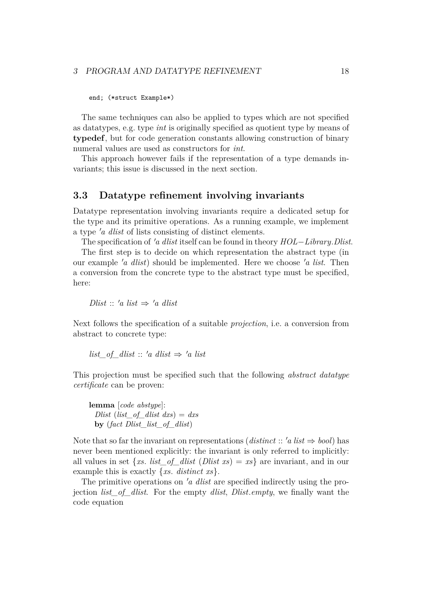#### 3 PROGRAM AND DATATYPE REFINEMENT 18

end; (\*struct Example\*)

The same techniques can also be applied to types which are not specified as datatypes, e.g. type *int* is originally specified as quotient type by means of **[typedef](#page-18-0)**, but for code generation constants allowing construction of binary numeral values are used as constructors for *int*.

<span id="page-18-0"></span>This approach however fails if the representation of a type demands invariants; this issue is discussed in the next section.

#### <span id="page-18-1"></span>**3.3 Datatype refinement involving invariants**

Datatype representation involving invariants require a dedicated setup for the type and its primitive operations. As a running example, we implement a type '*a dlist* of lists consisting of distinct elements.

The specification of '*a dlist* itself can be found in theory *HOL−Library*.*Dlist.* 

The first step is to decide on which representation the abstract type (in our example '*a dlist*) should be implemented. Here we choose '*a list*. Then a conversion from the concrete type to the abstract type must be specified, here:

*Dlist* ::  $'a$  *list*  $\Rightarrow 'a$  *dlist* 

Next follows the specification of a suitable *projection*, i.e. a conversion from abstract to concrete type:

*list* of dlist :: 'a dlist  $\Rightarrow$  'a list

This projection must be specified such that the following *abstract datatype certificate* can be proven:

**lemma** [*code abstype*]: *Dlist* (*list\_of\_dlist dxs*) = *dxs* **by** (*fact Dlist\_list\_of\_dlist*)

Note that so far the invariant on representations (*distinct* :: '*a list*  $\Rightarrow$  *bool*) has never been mentioned explicitly: the invariant is only referred to implicitly: all values in set  $\{xs. list_of_dlist (Dlist xs) = xs\}$  are invariant, and in our example this is exactly {*xs*. *distinct xs*}.

The primitive operations on '*a dlist* are specified indirectly using the projection *list\_of\_dlist*. For the empty *dlist*, *Dlist*.*empty*, we finally want the code equation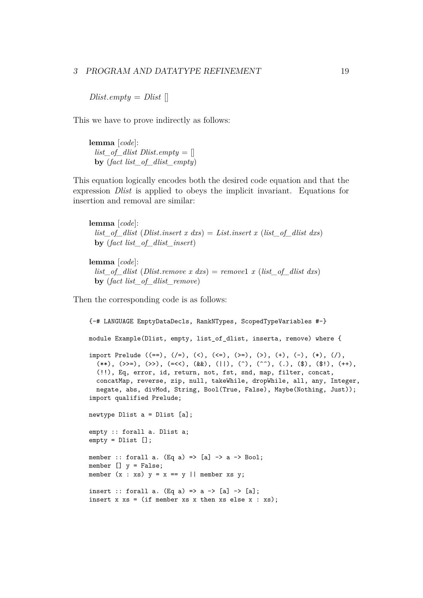*Dlist.empty* = *Dlist*  $\Box$ 

This we have to prove indirectly as follows:

**lemma** [*code*]: *list\_of\_dlist Dlist.empty* =  $[$ **by** (*fact list\_of\_dlist\_empty*)

This equation logically encodes both the desired code equation and that the expression *Dlist* is applied to obeys the implicit invariant. Equations for insertion and removal are similar:

**lemma** [*code*]: *list\_of\_dlist* (*Dlist*.*insert x dxs*) = *List*.*insert x* (*list\_of\_dlist dxs*) **by** (*fact list\_of\_dlist\_insert*)

**lemma** [*code*]: *list\_of\_dlist* (*Dlist*.*remove x dxs*) = *remove*1 *x* (*list\_of\_dlist dxs*) **by** (*fact list\_of\_dlist\_remove*)

Then the corresponding code is as follows:

```
{-# LANGUAGE EmptyDataDecls, RankNTypes, ScopedTypeVariables #-}
module Example(Dlist, empty, list_of_dlist, inserta, remove) where {
import Prelude ((==), (/=), (<), (<=), (>=), (>), (+), (-), (*), (/),
  (**), (\gg)=), (\gg), (=\ll), (\&\&), (||), (\hat{ }'), (\hat{ }'), (.), (\hat{ }'), (\hat{ }'), (\hat{ }'), (\hat{ }'), (+),
  (!!), Eq, error, id, return, not, fst, snd, map, filter, concat,
  concatMap, reverse, zip, null, takeWhile, dropWhile, all, any, Integer,
  negate, abs, divMod, String, Bool(True, False), Maybe(Nothing, Just));
import qualified Prelude;
newtype Dlist a = Dlist [a];
empty :: forall a. Dlist a;
empty = Dlist [];
member :: forall a. (Eq a) => [a] \rightarrow a \rightarrow Bool;
member [] y = False;member (x : xs) y = x == y || member xs y;
insert :: forall a. (Eq a) => a -> [a] -> [a];
insert x xs = (if member xs x then xs else x : xs);
```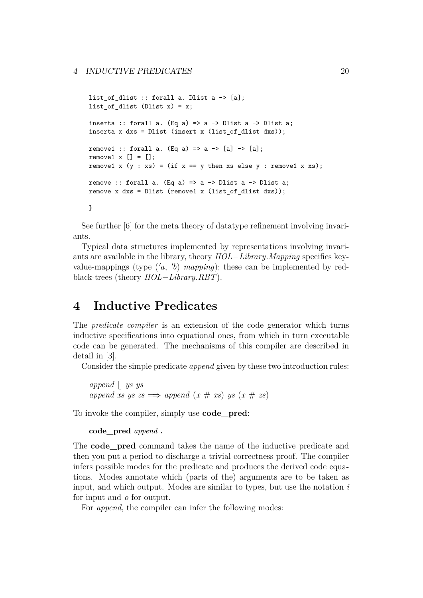```
list of dlist :: forall a. Dlist a \rightarrow [a];
list of dlist (Dlist x) = x;
inserta :: forall a. (Eq a) => a -> Dlist a -> Dlist a;
inserta x dxs = Dlist (insert x (list_of_dlist dxs));
remove1 :: forall a. (Eq a) => a -> [a] -> [a];
remove1 x [] = [];
remove1 x (y : xs) = (if x == y then xs else y : remove1 x xs);remove :: forall a. (Eq a) => a -> Dlist a -> Dlist a;
remove x dxs = Dlist (remove1 x (list of dlist dxs));
}
```
See further [\[6\]](#page-49-6) for the meta theory of datatype refinement involving invariants.

Typical data structures implemented by representations involving invariants are available in the library, theory *HOL*−*Library*.*Mapping* specifies keyvalue-mappings (type  $(a, b)$  *mapping*); these can be implemented by redblack-trees (theory *HOL*−*Library*.*RBT*).

## <span id="page-20-0"></span>**4 Inductive Predicates**

The *predicate compiler* is an extension of the code generator which turns inductive specifications into equational ones, from which in turn executable code can be generated. The mechanisms of this compiler are described in detail in [\[3\]](#page-49-7).

Consider the simple predicate *append* given by these two introduction rules:

```
append [] ys ys
append\ xs\ ys\ \gg\n  <i>append</i>\ (x\ #\ xs)\ ys\ (x\ #\ zs)
```
To invoke the compiler, simply use **[code\\_pred](#page-20-1)**:

```
code_pred append .
```
The **[code\\_pred](#page-20-1)** command takes the name of the inductive predicate and then you put a period to discharge a trivial correctness proof. The compiler infers possible modes for the predicate and produces the derived code equations. Modes annotate which (parts of the) arguments are to be taken as input, and which output. Modes are similar to types, but use the notation *i* for input and *o* for output.

For *append*, the compiler can infer the following modes: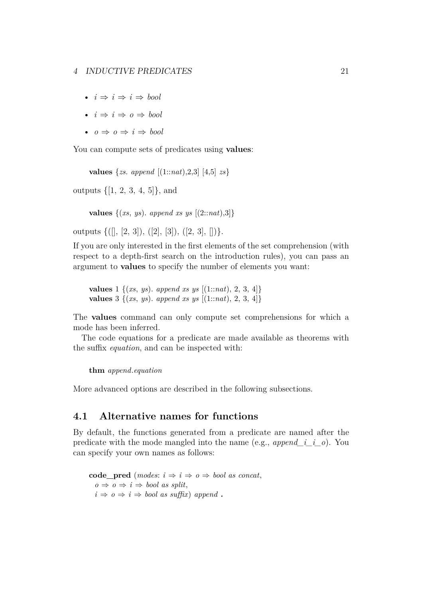- $i \Rightarrow i \Rightarrow i \Rightarrow bool$
- $i \Rightarrow i \Rightarrow o \Rightarrow bool$
- $o \Rightarrow o \Rightarrow i \Rightarrow bool$

You can compute sets of predicates using **[values](#page-21-0)**:

<span id="page-21-0"></span>**values** {*zs*. *append* [(1::*nat*),2,3] [4,5] *zs*}

outputs {[1, 2, 3, 4, 5]}, and

**values**  $\{(xs, ys)$ . *append xs ys*  $[(2::nat),3]$ 

outputs  $\{([\,], [2, 3]), ([2], [3]), ([2, 3], [])\}.$ 

If you are only interested in the first elements of the set comprehension (with respect to a depth-first search on the introduction rules), you can pass an argument to **[values](#page-21-0)** to specify the number of elements you want:

**values** 1 {(*xs*, *ys*). *append xs ys* [(1::*nat*), 2, 3, 4]} **values** 3 {(*xs*, *ys*). *append xs ys* [(1::*nat*), 2, 3, 4]}

The **[values](#page-21-0)** command can only compute set comprehensions for which a mode has been inferred.

The code equations for a predicate are made available as theorems with the suffix *equation*, and can be inspected with:

**thm** *append*.*equation*

More advanced options are described in the following subsections.

## **4.1 Alternative names for functions**

By default, the functions generated from a predicate are named after the predicate with the mode mangled into the name (e.g., *append\_i\_i\_o*). You can specify your own names as follows:

**code** pred (*modes*:  $i \Rightarrow i \Rightarrow o \Rightarrow \text{bool as concat},$  $o \Rightarrow o \Rightarrow i \Rightarrow bool \text{ as split},$  $i \Rightarrow o \Rightarrow i \Rightarrow bool$  *as suffix*) *append*.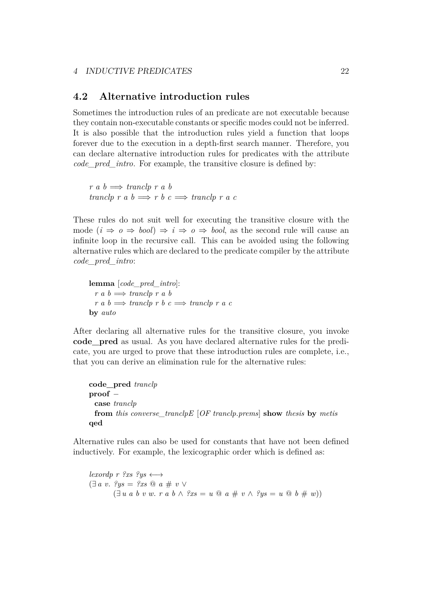## **4.2 Alternative introduction rules**

Sometimes the introduction rules of an predicate are not executable because they contain non-executable constants or specific modes could not be inferred. It is also possible that the introduction rules yield a function that loops forever due to the execution in a depth-first search manner. Therefore, you can declare alternative introduction rules for predicates with the attribute *[code\\_pred\\_intro](#page-50-1)*. For example, the transitive closure is defined by:

 $r a b \implies \text{tr} \left( r a b \right)$  $tranclp \r{a} b \Longrightarrow r b \r{c} \Longrightarrow tranclp \r{a} c$ 

These rules do not suit well for executing the transitive closure with the mode  $(i \Rightarrow o \Rightarrow bool) \Rightarrow i \Rightarrow o \Rightarrow bool$ , as the second rule will cause an infinite loop in the recursive call. This can be avoided using the following alternative rules which are declared to the predicate compiler by the attribute *[code\\_pred\\_intro](#page-50-1)*:

**lemma** [*code\_pred\_intro*]:  $r a b \Longrightarrow tranclp r a b$  $r a b \implies \text{tranclp } r b c \implies \text{tranclp } r a c$ **by** *auto*

After declaring all alternative rules for the transitive closure, you invoke **[code\\_pred](#page-20-1)** as usual. As you have declared alternative rules for the predicate, you are urged to prove that these introduction rules are complete, i.e., that you can derive an elimination rule for the alternative rules:

```
code_pred tranclp
proof −
 case tranclp
 from this converse_tranclpE [OF tranclp.prems] show thesis by metis
qed
```
Alternative rules can also be used for constants that have not been defined inductively. For example, the lexicographic order which is defined as:

*lexordp r ?xs ?ys*  $\longleftrightarrow$ (∃ *a v*. *?ys* = *?xs* @ *a* # *v* ∨ (∃ *u a b v w*. *r a b* ∧ *?xs* = *u* @ *a* # *v* ∧ *?ys* = *u* @ *b* # *w*))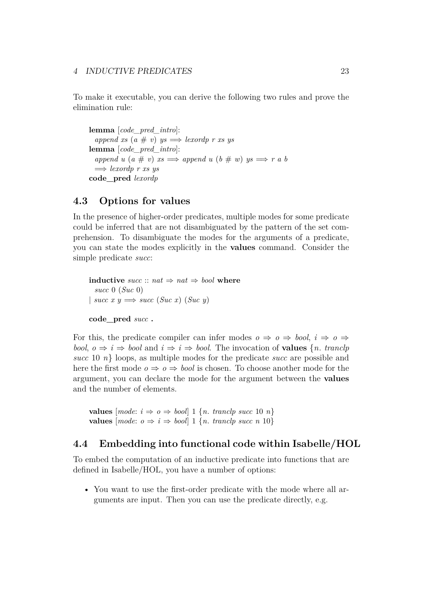To make it executable, you can derive the following two rules and prove the elimination rule:

**lemma** [*code\_pred\_intro*]:  $append xs (a \# v) ys \Longrightarrow lexordp rs ys$ **lemma** [*code\_pred\_intro*]:  $append\ u\ (a\#v)\ xs \Longrightarrow append\ u\ (b\#w)\ ys \Longrightarrow r\ a\ b$ =⇒ *lexordp r xs ys* **code\_pred** *lexordp*

## **4.3 Options for values**

In the presence of higher-order predicates, multiple modes for some predicate could be inferred that are not disambiguated by the pattern of the set comprehension. To disambiguate the modes for the arguments of a predicate, you can state the modes explicitly in the **[values](#page-21-0)** command. Consider the simple predicate *succ*:

```
inductive succ :: nat \Rightarrow nat \Rightarrow bool where
  succ 0 (Suc 0)
\vert \text{ succ } x y \Longrightarrow \text{succ } (Suc \ x) (Suc \ y) \vertcode_pred succ .
```
For this, the predicate compiler can infer modes  $o \Rightarrow o \Rightarrow \text{bool}, i \Rightarrow o \Rightarrow$ *bool*,  $o \Rightarrow i \Rightarrow bool$  and  $i \Rightarrow i \Rightarrow bool$ . The invocation of **[values](#page-21-0)** {*n. tranclp succ* 10 *n*} loops, as multiple modes for the predicate *succ* are possible and here the first mode  $o \Rightarrow o \Rightarrow bool$  is chosen. To choose another mode for the argument, you can declare the mode for the argument between the **[values](#page-21-0)** and the number of elements.

**values**  ${model: i \Rightarrow o \Rightarrow bool \mid 1 \{n \text{.} \}$   ${t \in \{10, n\}}$ **values**  ${[mode: o \Rightarrow i \Rightarrow bool] 1 {n, tranclp succ n 10}$ 

## **4.4 Embedding into functional code within Isabelle/HOL**

To embed the computation of an inductive predicate into functions that are defined in Isabelle/HOL, you have a number of options:

• You want to use the first-order predicate with the mode where all arguments are input. Then you can use the predicate directly, e.g.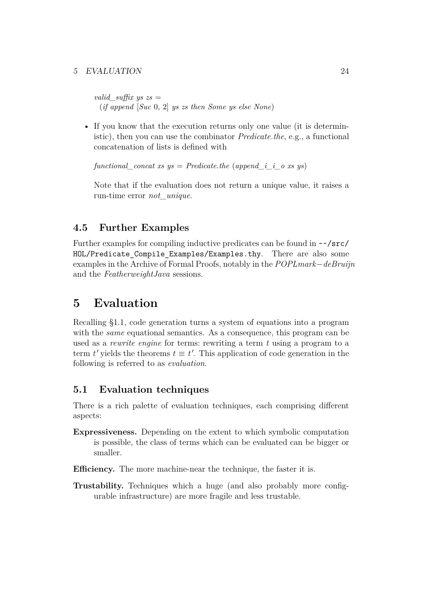#### 5 EVALUATION 24

*valid suffix ys zs*  $=$ (*if append* [*Suc* 0, 2] *ys zs then Some ys else None*)

• If you know that the execution returns only one value (it is deterministic), then you can use the combinator *Predicate*.*the*, e.g., a functional concatenation of lists is defined with

*functional concat xs ys* = *Predicate.the* (*append i i o xs ys*)

Note that if the evaluation does not return a unique value, it raises a run-time error *not\_unique*.

## **4.5 Further Examples**

Further examples for compiling inductive predicates can be found in ~~/src/ HOL/Predicate Compile Examples/Examples.thy. There are also some examples in the Archive of Formal Proofs, notably in the *POPLmark*−*deBruijn* and the *FeatherweightJava* sessions.

## <span id="page-24-0"></span>**5 Evaluation**

Recalling [§1.1,](#page-1-4) code generation turns a system of equations into a program with the *same* equational semantics. As a consequence, this program can be used as a *rewrite engine* for terms: rewriting a term *t* using a program to a term  $t'$  yields the theorems  $t \equiv t'$ . This application of code generation in the following is referred to as *evaluation*.

## **5.1 Evaluation techniques**

There is a rich palette of evaluation techniques, each comprising different aspects:

**Expressiveness.** Depending on the extent to which symbolic computation is possible, the class of terms which can be evaluated can be bigger or smaller.

**Efficiency.** The more machine-near the technique, the faster it is.

**Trustability.** Techniques which a huge (and also probably more configurable infrastructure) are more fragile and less trustable.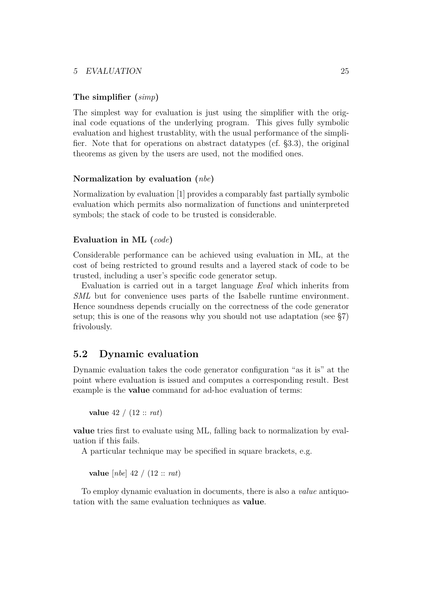#### 5 EVALUATION 25

#### **The simplifier (***simp***)**

The simplest way for evaluation is just using the simplifier with the original code equations of the underlying program. This gives fully symbolic evaluation and highest trustablity, with the usual performance of the simplifier. Note that for operations on abstract datatypes (cf. [§3.3\)](#page-18-1), the original theorems as given by the users are used, not the modified ones.

#### **Normalization by evaluation (***nbe***)**

Normalization by evaluation [\[1\]](#page-48-0) provides a comparably fast partially symbolic evaluation which permits also normalization of functions and uninterpreted symbols; the stack of code to be trusted is considerable.

#### **Evaluation in ML (***code***)**

Considerable performance can be achieved using evaluation in ML, at the cost of being restricted to ground results and a layered stack of code to be trusted, including a user's specific code generator setup.

Evaluation is carried out in a target language *Eval* which inherits from *SML* but for convenience uses parts of the Isabelle runtime environment. Hence soundness depends crucially on the correctness of the code generator setup; this is one of the reasons why you should not use adaptation (see [§7\)](#page-38-0) frivolously.

## **5.2 Dynamic evaluation**

Dynamic evaluation takes the code generator configuration "as it is" at the point where evaluation is issued and computes a corresponding result. Best example is the **[value](#page-25-0)** command for ad-hoc evaluation of terms:

```
value 42 / (12 :: rat)
```
**[value](#page-25-0)** tries first to evaluate using ML, falling back to normalization by evaluation if this fails.

A particular technique may be specified in square brackets, e.g.

**value** [*nbe*] 42 / (12 :: *rat*)

To employ dynamic evaluation in documents, there is also a *value* antiquotation with the same evaluation techniques as **[value](#page-25-0)**.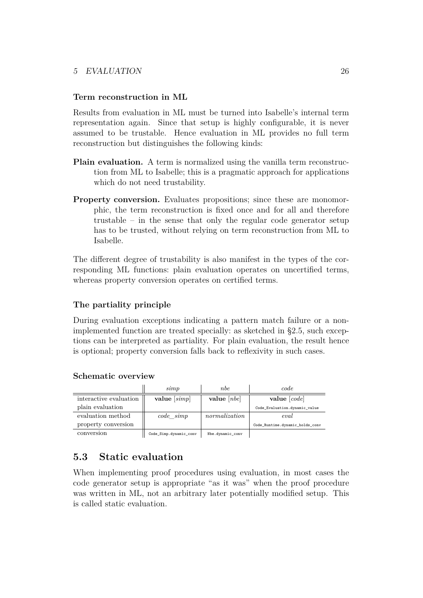#### 5 EVALUATION 26

#### **Term reconstruction in ML**

Results from evaluation in ML must be turned into Isabelle's internal term representation again. Since that setup is highly configurable, it is never assumed to be trustable. Hence evaluation in ML provides no full term reconstruction but distinguishes the following kinds:

- **Plain evaluation.** A term is normalized using the vanilla term reconstruction from ML to Isabelle; this is a pragmatic approach for applications which do not need trustability.
- **Property conversion.** Evaluates propositions; since these are monomorphic, the term reconstruction is fixed once and for all and therefore trustable – in the sense that only the regular code generator setup has to be trusted, without relying on term reconstruction from ML to Isabelle.

The different degree of trustability is also manifest in the types of the corresponding ML functions: plain evaluation operates on uncertified terms, whereas property conversion operates on certified terms.

#### <span id="page-26-0"></span>**The partiality principle**

During evaluation exceptions indicating a pattern match failure or a nonimplemented function are treated specially: as sketched in [§2.5,](#page-12-0) such exceptions can be interpreted as partiality. For plain evaluation, the result hence is optional; property conversion falls back to reflexivity in such cases.

#### **Schematic overview**

|                        | simp                   | <i>nbe</i>       | code                            |
|------------------------|------------------------|------------------|---------------------------------|
| interactive evaluation | value $[simp]$         | value $[ nbe]$   | value $[code]$                  |
| plain evaluation       |                        |                  | Code Evaluation.dynamic_value   |
| evaluation method      | $code\_simp$           | normalization    | eval                            |
| property conversion    |                        |                  | Code Runtime.dynamic_holds_conv |
| conversion             | Code_Simp.dynamic_conv | Nbe.dynamic_conv |                                 |

## **5.3 Static evaluation**

When implementing proof procedures using evaluation, in most cases the code generator setup is appropriate "as it was" when the proof procedure was written in ML, not an arbitrary later potentially modified setup. This is called static evaluation.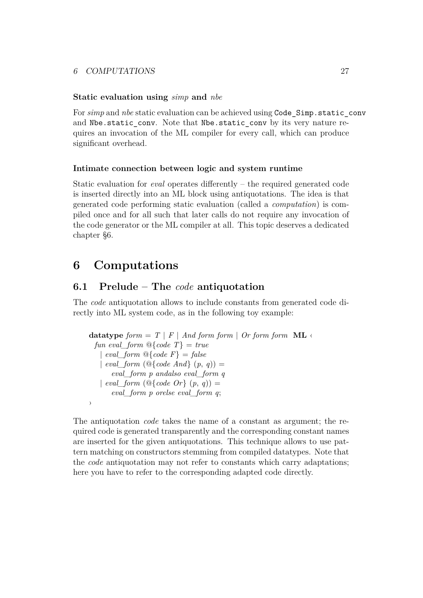### 6 COMPUTATIONS 27

#### **Static evaluation using** *simp* **and** *nbe*

For *simp* and *nbe* static evaluation can be achieved using Code Simp.static conv and Nbe.static conv. Note that Nbe.static conv by its very nature requires an invocation of the ML compiler for every call, which can produce significant overhead.

#### **Intimate connection between logic and system runtime**

Static evaluation for *eval* operates differently – the required generated code is inserted directly into an ML block using antiquotations. The idea is that generated code performing static evaluation (called a *computation*) is compiled once and for all such that later calls do not require any invocation of the code generator or the ML compiler at all. This topic deserves a dedicated chapter [§6.](#page-27-0)

## <span id="page-27-0"></span>**6 Computations**

### <span id="page-27-2"></span>**6.1 Prelude – The** *code* **antiquotation**

<span id="page-27-1"></span>The *[code](#page-27-1)* antiquotation allows to include constants from generated code directly into ML system code, as in the following toy example:

```
datatype form = T | F | And form form | Or form form <b>ML</b> <math>\leftarrow</math>fun eval form \mathbb{Q}\{\text{code } T\} = \text{true}| eval form \mathbb{Q}\{\text{code } F\} = \text{false}| eval form (Q\{code And\} (p, q)) =eval_form p andalso eval_form q
    | eval\_form (\mathcal{Q}\{\text{code }Or\} (p, q)) =
        eval_form p orelse eval_form q;
›
```
The antiquotation *[code](#page-27-1)* takes the name of a constant as argument; the required code is generated transparently and the corresponding constant names are inserted for the given antiquotations. This technique allows to use pattern matching on constructors stemming from compiled datatypes. Note that the *[code](#page-27-1)* antiquotation may not refer to constants which carry adaptations; here you have to refer to the corresponding adapted code directly.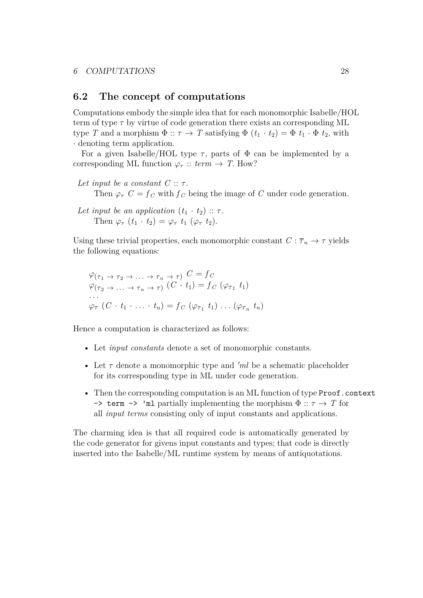### **6.2 The concept of computations**

Computations embody the simple idea that for each monomorphic Isabelle/HOL term of type  $\tau$  by virtue of code generation there exists an corresponding ML type *T* and a morphism  $\Phi :: \tau \to T$  satisfying  $\Phi (t_1 \cdot t_2) = \Phi t_1 \cdot \Phi t_2$ , with · denoting term application.

For a given Isabelle/HOL type  $\tau$ , parts of  $\Phi$  can be implemented by a corresponding ML function  $\varphi_{\tau}$  :: *term*  $\rightarrow$  *T*. How?

- *Let input be a constant C* :: τ. Then  $\varphi_{\tau}$  *C* =  $f_c$  with  $f_c$  being the image of *C* under code generation.
- *Let input be an application*  $(t_1 \cdot t_2) :: \tau$ . Then  $\varphi_{\tau}$   $(t_1 \cdot t_2) = \varphi_{\tau}$   $t_1$   $(\varphi_{\tau} t_2)$ .

Using these trivial properties, each monomorphic constant  $C : \overline{\tau}_n \to \tau$  yields the following equations:

$$
\varphi_{(\tau_1 \to \tau_2 \to \dots \to \tau_n \to \tau)} C = f_C
$$
  
\n
$$
\varphi_{(\tau_2 \to \dots \to \tau_n \to \tau)} (C \cdot t_1) = f_C (\varphi_{\tau_1} t_1)
$$
  
\n...  
\n
$$
\varphi_{\tau} (C \cdot t_1 \cdot \dots \cdot t_n) = f_C (\varphi_{\tau_1} t_1) \dots (\varphi_{\tau_n} t_n)
$$

Hence a computation is characterized as follows:

- Let *input constants* denote a set of monomorphic constants.
- Let  $\tau$  denote a monomorphic type and 'ml be a schematic placeholder for its corresponding type in ML under code generation.
- Then the corresponding computation is an ML function of type Proof.context  $\rightarrow$  term  $\rightarrow$  'ml partially implementing the morphism  $\Phi$  ::  $\tau \rightarrow T$  for all *input terms* consisting only of input constants and applications.

The charming idea is that all required code is automatically generated by the code generator for givens input constants and types; that code is directly inserted into the Isabelle/ML runtime system by means of antiquotations.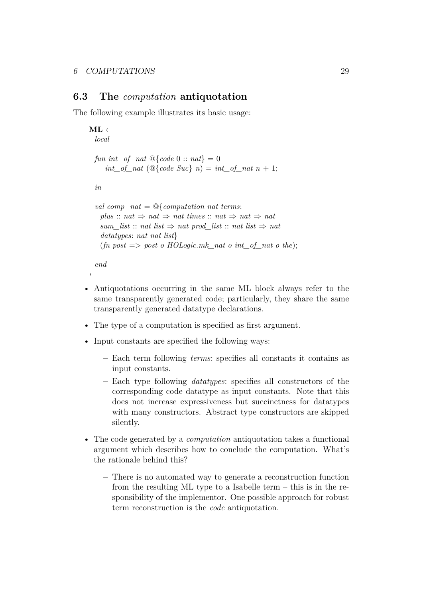›

## **6.3 The** *computation* **antiquotation**

The following example illustrates its basic usage:

```
ML ‹
  local
  fun int_of_nat @{code 0 :: nat} = 0
   | int\_of\_nat (@{code} Suc} n) = int\_of\_nat n + 1;in
  val comp_nat = @{computation nat terms:
    plus :: nat \Rightarrow nat \Rightarrow nat times :: nat \Rightarrow nat \Rightarrow natsum_list :: nat list \Rightarrow nat prod_list :: nat list \Rightarrow nat
    datatypes: nat nat list}
    (\text{fn } post \implies \text{post } o \text{ HOLoqic.mk } nat o \text{ int } of \text{ nat } o \text{ the});end
```
- Antiquotations occurring in the same ML block always refer to the same transparently generated code; particularly, they share the same transparently generated datatype declarations.
- The type of a computation is specified as first argument.
- Input constants are specified the following ways:
	- **–** Each term following *terms*: specifies all constants it contains as input constants.
	- **–** Each type following *datatypes*: specifies all constructors of the corresponding code datatype as input constants. Note that this does not increase expressiveness but succinctness for datatypes with many constructors. Abstract type constructors are skipped silently.
- The code generated by a *computation* antiquotation takes a functional argument which describes how to conclude the computation. What's the rationale behind this?
	- **–** There is no automated way to generate a reconstruction function from the resulting ML type to a Isabelle term – this is in the responsibility of the implementor. One possible approach for robust term reconstruction is the *code* antiquotation.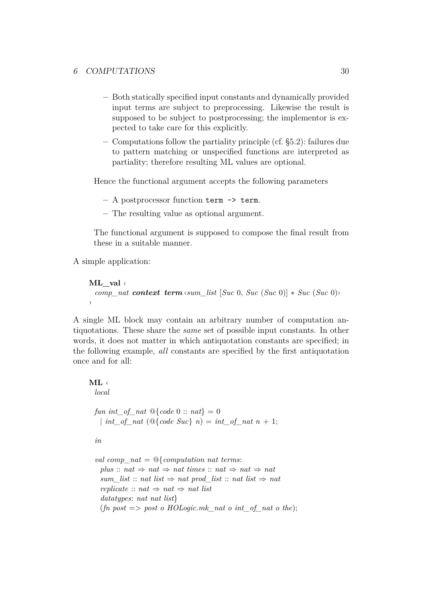- **–** Both statically specified input constants and dynamically provided input terms are subject to preprocessing. Likewise the result is supposed to be subject to postprocessing; the implementor is expected to take care for this explicitly.
- **–** Computations follow the partiality principle (cf. [§5.2\)](#page-26-0): failures due to pattern matching or unspecified functions are interpreted as partiality; therefore resulting ML values are optional.

Hence the functional argument accepts the following parameters

- **–** A postprocessor function term -> term.
- **–** The resulting value as optional argument.

The functional argument is supposed to compose the final result from these in a suitable manner.

A simple application:

```
ML_val ‹
 comp_nat context term ‹sum_list [Suc 0, Suc (Suc 0)] ∗ Suc (Suc 0)›
›
```
A single ML block may contain an arbitrary number of computation antiquotations. These share the *same* set of possible input constants. In other words, it does not matter in which antiquotation constants are specified; in the following example, *all* constants are specified by the first antiquotation once and for all:

#### **ML** ‹

*local*

```
fun int_of_nat \mathcal{Q}\{\text{code 0} : \text{nat}\} = 0| int_of_nat (@{code Suc} n) = int_of_nat n + 1;
```

```
in
```

```
val comp_nat = @{computation nat terms:
  plus :: nat \Rightarrow nat \Rightarrow nat times :: nat \Rightarrow nat \Rightarrow natsum_list :: nat list \Rightarrow nat prod_list :: nat list \Rightarrow nat
  replicate :: nat \Rightarrow nat \Rightarrow natdatatypes: nat nat list}
  (f_n \text{ post } \Longrightarrow \text{ post } \text{ o } \text{ HOLogic}.mk\_nat \text{ o } int\_of\_nat \text{ o } the);
```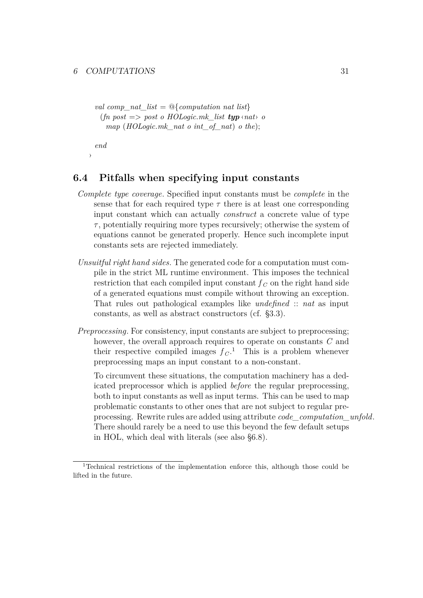*val comp\_nat\_list* =  $\mathcal{Q}\$ {*computation nat list*}  $(f_n \text{ post} \implies \text{post} \text{ of } \text{HOLoqic} \text{.}mk \text{ list } \text{typ} \text{ and } \text{ of } \text{out}$ *map* (*HOLogic*.*mk\_nat o int\_of\_nat*) *o the*);

*end*

›

## <span id="page-31-1"></span>**6.4 Pitfalls when specifying input constants**

- *Complete type coverage*. Specified input constants must be *complete* in the sense that for each required type  $\tau$  there is at least one corresponding input constant which can actually *construct* a concrete value of type  $\tau$ , potentially requiring more types recursively; otherwise the system of equations cannot be generated properly. Hence such incomplete input constants sets are rejected immediately.
- *Unsuitful right hand sides*. The generated code for a computation must compile in the strict ML runtime environment. This imposes the technical restriction that each compiled input constant  $f<sub>C</sub>$  on the right hand side of a generated equations must compile without throwing an exception. That rules out pathological examples like *undefined* :: *nat* as input constants, as well as abstract constructors (cf. [§3.3\)](#page-18-1).
- *Preprocessing*. For consistency, input constants are subject to preprocessing; however, the overall approach requires to operate on constants *C* and their respective compiled images  $f_C$ .<sup>[1](#page-31-0)</sup> This is a problem whenever preprocessing maps an input constant to a non-constant.

To circumvent these situations, the computation machinery has a dedicated preprocessor which is applied *before* the regular preprocessing, both to input constants as well as input terms. This can be used to map problematic constants to other ones that are not subject to regular preprocessing. Rewrite rules are added using attribute *[code\\_computation\\_unfold](#page-50-1)*. There should rarely be a need to use this beyond the few default setups in HOL, which deal with literals (see also [§6.8\)](#page-36-0).

<span id="page-31-0"></span><sup>1</sup>Technical restrictions of the implementation enforce this, although those could be lifted in the future.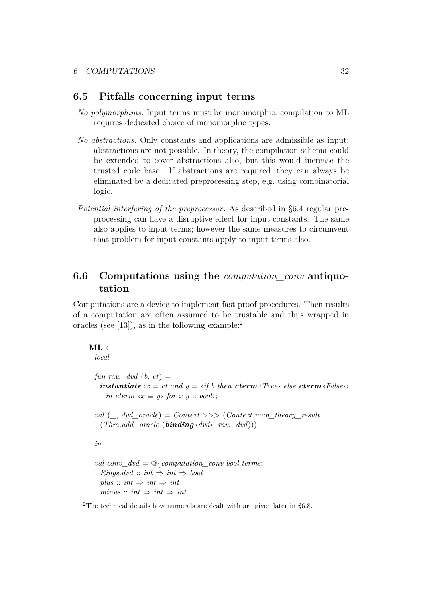## **6.5 Pitfalls concerning input terms**

- *No polymorphims*. Input terms must be monomorphic: compilation to ML requires dedicated choice of monomorphic types.
- *No abstractions*. Only constants and applications are admissible as input; abstractions are not possible. In theory, the compilation schema could be extended to cover abstractions also, but this would increase the trusted code base. If abstractions are required, they can always be eliminated by a dedicated preprocessing step, e.g. using combinatorial logic.
- *Potential interfering of the preprocessor*. As described in [§6.4](#page-31-1) regular preprocessing can have a disruptive effect for input constants. The same also applies to input terms; however the same measures to circumvent that problem for input constants apply to input terms also.

## **6.6 Computations using the** *computation\_conv* **antiquotation**

Computations are a device to implement fast proof procedures. Then results of a computation are often assumed to be trustable and thus wrapped in oracles (see [\[13\]](#page-50-0)), as in the following example:<sup>[2](#page-32-0)</sup>

```
ML ‹
```
*local*

*fun raw dvd*  $(b, ct) =$ *instantiate*  $\langle x \rangle = ct$  *and*  $y = \langle i f \rangle$  *then cterm*  $\langle True \rangle$  *else cterm*  $\langle False \rangle$ *in cterm*  $\langle x \equiv y \rangle$  *for*  $x \ y :: \mathit{bool} \rangle$ ;

*val* ( $\ldots$  *dvd\_oracle*) = *Context*.>>> (*Context*.*map\_theory\_result*  $(Thm.add\ oracle\ (binding \cdot dvd), raw\ dvd));$ 

```
in
```

```
val conv_dvd = @{computation_conv bool terms:
  Rings.dvd :: int \Rightarrow int \Rightarrow boolplus :: int \Rightarrow int \Rightarrow intminus :: int \Rightarrow int \Rightarrow int
```
<span id="page-32-0"></span><sup>2</sup>The technical details how numerals are dealt with are given later in [§6.8.](#page-36-0)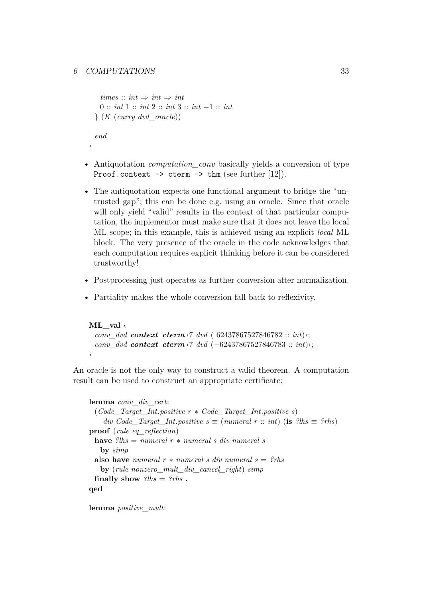#### 6 COMPUTATIONS 33

›

```
times :: int \Rightarrow int \Rightarrow int0 :: int 1 :: int 2 :: int 3 :: int −1 :: int
} (K (curry dvd_oracle))
end
```
- Antiquotation *computation* conv basically yields a conversion of type Proof.context  $\rightarrow$  cterm  $\rightarrow$  thm (see further [\[12\]](#page-49-8)).
- The antiquotation expects one functional argument to bridge the "untrusted gap"; this can be done e.g. using an oracle. Since that oracle will only yield "valid" results in the context of that particular computation, the implementor must make sure that it does not leave the local ML scope; in this example, this is achieved using an explicit *local* ML block. The very presence of the oracle in the code acknowledges that each computation requires explicit thinking before it can be considered trustworthy!
- Postprocessing just operates as further conversion after normalization.
- Partiality makes the whole conversion fall back to reflexivity.

```
ML_val ‹
 conv_dvd context cterm ‹7 dvd ( 62437867527846782 :: int)›;
 conv_dvd context cterm ‹7 dvd (−62437867527846783 :: int)›;
›
```
An oracle is not the only way to construct a valid theorem. A computation result can be used to construct an appropriate certificate:

```
lemma conv_div_cert:
 (Code_Target_Int.positive r ∗ Code_Target_Int.positive s)
    div Code Target Int.positive s \equiv (numeral r :: int) (is ?lhs \equiv ?rhs)
proof (rule eq_reflection)
 have ?lhs = numeral r ∗ numeral s div numeral s
   by simp
 also have numeral r * numeral s div numeral s = ?rhsby (rule nonzero_mult_div_cancel_right) simp
 finally show ?lhs = ?rhs \cdotqed
```
**lemma** *positive\_mult*: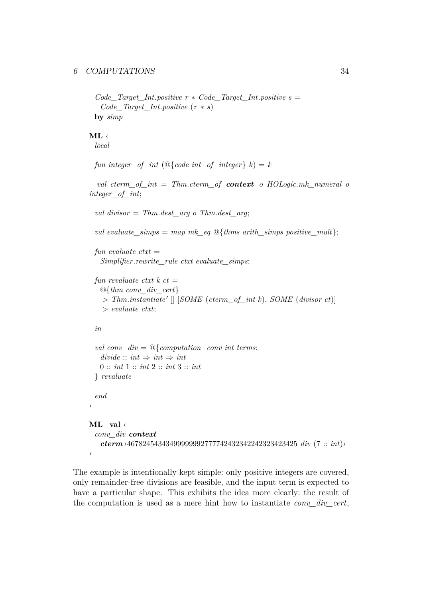#### 6 COMPUTATIONS 34

```
Code\_Target\_Int. positive r * Code\_Target\_Int.positive s =Code_Target_Int.positive (r ∗ s)
by simp
```
**ML** ‹ *local*

```
fun integer of int (@{code int of integer} k) = k
```
*val cterm\_of\_int* = *Thm*.*cterm\_of context o HOLogic*.*mk\_numeral o integer\_of\_int*;

```
val divisor = Thm.dest_arg o Thm.dest_arg;
```
*val evaluate simps* = *map mk eq* @{*thms arith simps positive mult*};

```
fun evaluate ctxt =
 Simplifier.rewrite_rule ctxt evaluate_simps;
```

```
fun revaluate ctxt k ct =@{thm conv_div_cert}
 |> Thm.instantiate' || [SOME (cterm_of_int k), SOME (divisor ct)]
 |> evaluate ctxt;
```

```
in
```

```
val conv_div = @{computation_conv int terms:
   divide: : int \Rightarrow int \Rightarrow int0 :: int 1 :: int 2 :: int 3 :: int
 } revaluate
 end
›
ML_val ‹
 conv_div context
   cterm ‹46782454343499999992777742432342242323423425 div (7 :: int)›
›
```
The example is intentionally kept simple: only positive integers are covered, only remainder-free divisions are feasible, and the input term is expected to have a particular shape. This exhibits the idea more clearly: the result of the computation is used as a mere hint how to instantiate *[conv\\_div\\_cert](#page-50-1)*,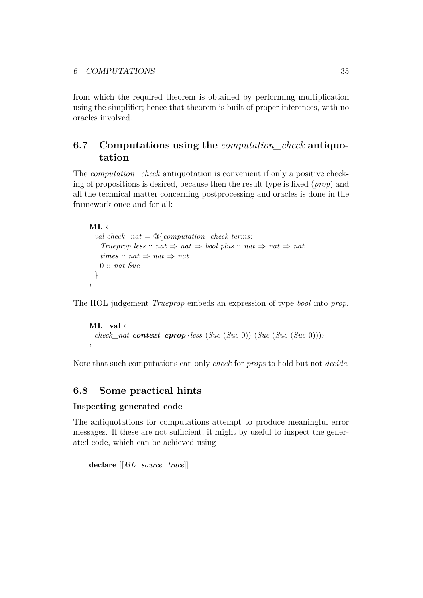from which the required theorem is obtained by performing multiplication using the simplifier; hence that theorem is built of proper inferences, with no oracles involved.

## **6.7 Computations using the** *computation\_check* **antiquotation**

The *computation\_check* antiquotation is convenient if only a positive checking of propositions is desired, because then the result type is fixed (*prop*) and all the technical matter concerning postprocessing and oracles is done in the framework once and for all:

# **ML** ‹

```
val check_nat = @{computation_check terms:
    Trueprop less :: nat \Rightarrow nat \Rightarrow bool \, plus \, :: \, nat \Rightarrow nat \Rightarrow nattimes :: nat \Rightarrow nat \Rightarrow nat0 :: nat Suc
 }
›
```
The HOL judgement *Trueprop* embeds an expression of type *bool* into *prop*.

```
ML_val ‹
 check_nat context cprop \langleless (Suc (Suc 0)) (Suc (Suc 0)))
›
```
Note that such computations can only *check* for *prop*s to hold but not *decide*.

## **6.8 Some practical hints**

### **Inspecting generated code**

The antiquotations for computations attempt to produce meaningful error messages. If these are not sufficient, it might by useful to inspect the generated code, which can be achieved using

**declare** [[*ML\_source\_trace*]]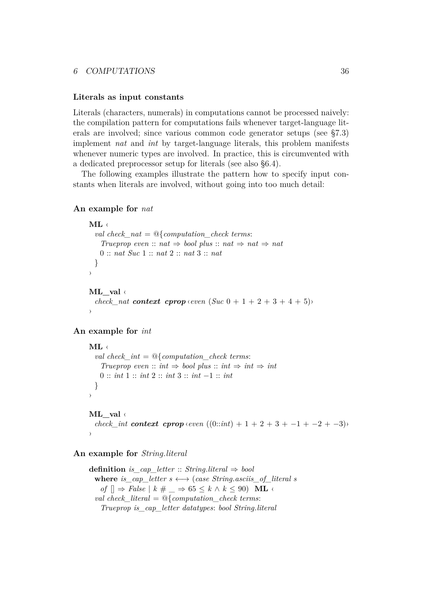#### 6 COMPUTATIONS 36

#### <span id="page-36-0"></span>**Literals as input constants**

Literals (characters, numerals) in computations cannot be processed naively: the compilation pattern for computations fails whenever target-language literals are involved; since various common code generator setups (see [§7.3\)](#page-40-0) implement *nat* and *int* by target-language literals, this problem manifests whenever numeric types are involved. In practice, this is circumvented with a dedicated preprocessor setup for literals (see also [§6.4\)](#page-31-1).

The following examples illustrate the pattern how to specify input constants when literals are involved, without going into too much detail:

#### **An example for** *nat*

```
ML ‹
 val check_nat = @{computation_check terms:
   Trueprop even :: nat \Rightarrow bool plus :: nat \Rightarrow nat
   0 :: nat Suc 1 :: nat 2 :: nat 3 :: nat
 }
›
ML_val ‹
 check nat context cprop \langle even (Suc \ 0 + 1 + 2 + 3 + 4 + 5)›
```
#### **An example for** *int*

```
ML ‹
 val check_int = @{computation_check terms:
   Trueprop even :: int \Rightarrow bool plus :: int \Rightarrow int
   0 :: int 1 :: int 2 :: int 3 :: int −1 :: int
 }
›
```
## **ML\_val** ‹

```
check int context cprop \langle even \ (0::int) + 1 + 2 + 3 + -1 + -2 + -3 \rangle›
```
#### **An example for** *String*.*literal*

```
definition is_cap_letter :: String.literal ⇒ bool
 where is cap letter s \leftrightarrow (case String.asciis of literal s
   of \Box ⇒ False \vert k \# \_ ⇒ 65 ≤ k \land k ≤ 90) ML \triangleleftval check_literal = @{computation_check terms:
   Trueprop is_cap_letter datatypes: bool String.literal
```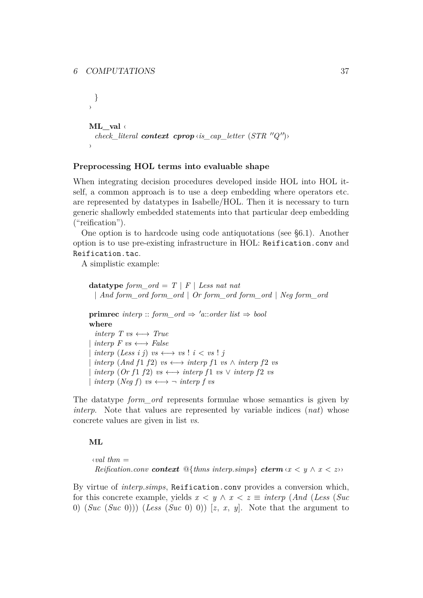```
}
›
ML_val ‹
  check_literal context cprop \langle i s \rangle cap_letter (STR ''Q')
›
```
#### **Preprocessing HOL terms into evaluable shape**

When integrating decision procedures developed inside HOL into HOL itself, a common approach is to use a deep embedding where operators etc. are represented by datatypes in Isabelle/HOL. Then it is necessary to turn generic shallowly embedded statements into that particular deep embedding ("reification").

One option is to hardcode using code antiquotations (see [§6.1\)](#page-27-2). Another option is to use pre-existing infrastructure in HOL: Reification.conv and Reification.tac.

A simplistic example:

**datatype** *form\_ord* =  $T | F |$  *Less nat nat* | *And form\_ord form\_ord* | *Or form\_ord form\_ord* | *Neg form\_ord* **primrec** *interp* :: *form\_ord*  $\Rightarrow$  '*a*::*order list*  $\Rightarrow$  *bool* **where** *interp T vs*  $\longleftrightarrow$  *True*  $\text{interp } F \text{ } \text{ } vs \longleftrightarrow \text{ } False$  $\text{interp}( \text{Less } i \text{ } j) \text{ } \text{vs} \longleftrightarrow \text{vs} \text{ } ! \text{ } i < \text{vs} \text{ } ! \text{ } j$  $\phi$  *interp* (*And f* 1 *f* 2) *vs*  $\longleftrightarrow$  *interp f* 1 *vs*  $\land$  *interp f* 2 *vs*  $\phi$  *interp* (*Or f* 1 *f* 2) *vs*  $\longleftrightarrow$  *interp f* 1 *vs*  $\lor$  *interp f* 2 *vs*  $\text{interp} \ ( \text{Neg } f) \ \text{vs} \longleftrightarrow \neg \ \text{interp} \ f \ \text{vs}$ 

The datatype *form\_ord* represents formulae whose semantics is given by *interp*. Note that values are represented by variable indices (*nat*) whose concrete values are given in list *vs*.

#### **ML**

 $\langle val~thm =$ *Reification.conv context*  $\mathbb{Q}$ {*thms interp.simps*} *cterm*  $\langle x \rangle$   $\langle y \rangle$   $\langle x \rangle$   $\langle z \rangle$ }

By virtue of *[interp](#page-50-1)*.*simps*, Reification.conv provides a conversion which, for this concrete example, yields  $x < y \land x < z \equiv$  *interp* (*And* (*Less* (*Suc*) 0) (*Suc* (*Suc* 0))) (*Less* (*Suc* 0) 0)) [*z*, *x*, *y*]. Note that the argument to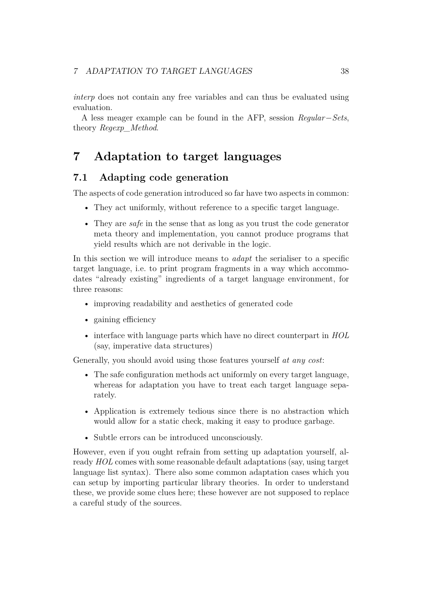*interp* does not contain any free variables and can thus be evaluated using evaluation.

A less meager example can be found in the AFP, session *Regular*−*Sets*, theory *Regexp\_Method*.

## <span id="page-38-0"></span>**7 Adaptation to target languages**

## **7.1 Adapting code generation**

The aspects of code generation introduced so far have two aspects in common:

- They act uniformly, without reference to a specific target language.
- They are *safe* in the sense that as long as you trust the code generator meta theory and implementation, you cannot produce programs that yield results which are not derivable in the logic.

In this section we will introduce means to *adapt* the serialiser to a specific target language, i.e. to print program fragments in a way which accommodates "already existing" ingredients of a target language environment, for three reasons:

- improving readability and aesthetics of generated code
- gaining efficiency
- interface with language parts which have no direct counterpart in *HOL* (say, imperative data structures)

Generally, you should avoid using those features yourself *at any cost*:

- The safe configuration methods act uniformly on every target language, whereas for adaptation you have to treat each target language separately.
- Application is extremely tedious since there is no abstraction which would allow for a static check, making it easy to produce garbage.
- Subtle errors can be introduced unconsciously.

However, even if you ought refrain from setting up adaptation yourself, already *HOL* comes with some reasonable default adaptations (say, using target language list syntax). There also some common adaptation cases which you can setup by importing particular library theories. In order to understand these, we provide some clues here; these however are not supposed to replace a careful study of the sources.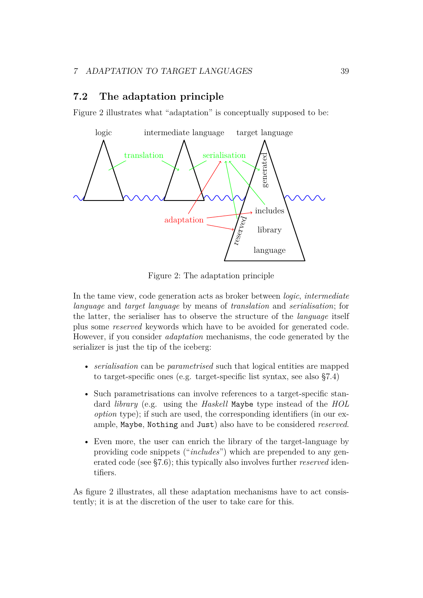## **7.2 The adaptation principle**

Figure [2](#page-39-0) illustrates what "adaptation" is conceptually supposed to be:



<span id="page-39-0"></span>Figure 2: The adaptation principle

In the tame view, code generation acts as broker between *logic*, *intermediate language* and *target language* by means of *translation* and *serialisation*; for the latter, the serialiser has to observe the structure of the *language* itself plus some *reserved* keywords which have to be avoided for generated code. However, if you consider *adaptation* mechanisms, the code generated by the serializer is just the tip of the iceberg:

- *serialisation* can be *parametrised* such that logical entities are mapped to target-specific ones (e.g. target-specific list syntax, see also [§7.4\)](#page-41-0)
- Such parametrisations can involve references to a target-specific standard *library* (e.g. using the *Haskell* Maybe type instead of the *HOL option* type); if such are used, the corresponding identifiers (in our example, Maybe, Nothing and Just) also have to be considered *reserved*.
- Even more, the user can enrich the library of the target-language by providing code snippets ("*includes*") which are prepended to any generated code (see [§7.6\)](#page-44-0); this typically also involves further *reserved* identifiers.

As figure [2](#page-39-0) illustrates, all these adaptation mechanisms have to act consistently; it is at the discretion of the user to take care for this.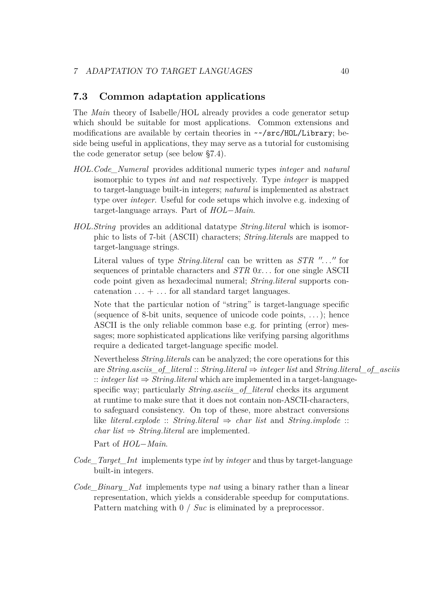## <span id="page-40-0"></span>**7.3 Common adaptation applications**

The *Main* theory of Isabelle/HOL already provides a code generator setup which should be suitable for most applications. Common extensions and modifications are available by certain theories in ~~/src/HOL/Library; beside being useful in applications, they may serve as a tutorial for customising the code generator setup (see below [§7.4\)](#page-41-0).

- *HOL*.*Code\_Numeral* provides additional numeric types *integer* and *natural* isomorphic to types *int* and *nat* respectively. Type *integer* is mapped to target-language built-in integers; *natural* is implemented as abstract type over *integer*. Useful for code setups which involve e.g. indexing of target-language arrays. Part of *HOL*−*Main*.
- *HOL*.*String* provides an additional datatype *String*.*literal* which is isomorphic to lists of 7-bit (ASCII) characters; *String*.*literal*s are mapped to target-language strings.

Literal values of type *String.literal* can be written as *STR* "..." for sequences of printable characters and *STR* 0*x*. . . for one single ASCII code point given as hexadecimal numeral; *String*.*literal* supports concatenation  $\dots$  +  $\dots$  for all standard target languages.

Note that the particular notion of "string" is target-language specific (sequence of 8-bit units, sequence of unicode code points, . . . ); hence ASCII is the only reliable common base e.g. for printing (error) messages; more sophisticated applications like verifying parsing algorithms require a dedicated target-language specific model.

Nevertheless *String*.*literal*s can be analyzed; the core operations for this are *String*.*asciis* of *literal* :: *String*.*literal*  $\Rightarrow$  *integer list* and *String*.*literal* of asciis :: *integer list* ⇒ *String*.*literal* which are implemented in a target-languagespecific way; particularly *String*.*asciis\_of\_literal* checks its argument at runtime to make sure that it does not contain non-ASCII-characters, to safeguard consistency. On top of these, more abstract conversions like *literal.explode* :: *String.literal*  $\Rightarrow$  *char list* and *String.implode* :: *char list*  $\Rightarrow$  *String*.*literal* are implemented.

Part of *HOL*−*Main*.

- *Code\_Target\_Int* implements type *int* by *integer* and thus by target-language built-in integers.
- *Code\_Binary\_Nat* implements type *nat* using a binary rather than a linear representation, which yields a considerable speedup for computations. Pattern matching with 0 / *Suc* is eliminated by a preprocessor.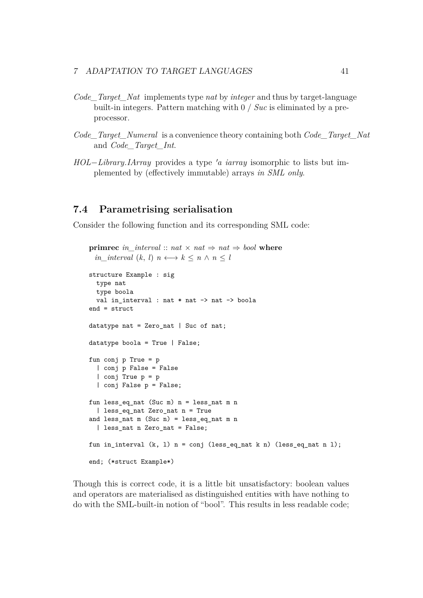- *Code\_Target\_Nat* implements type *nat* by *integer* and thus by target-language built-in integers. Pattern matching with 0 / *Suc* is eliminated by a preprocessor.
- *Code\_Target\_Numeral* is a convenience theory containing both *Code\_Target\_Nat* and *Code\_Target\_Int*.
- *HOL−Library*.*IArray* provides a type 'a *iarray* isomorphic to lists but implemented by (effectively immutable) arrays *in SML only*.

## <span id="page-41-0"></span>**7.4 Parametrising serialisation**

Consider the following function and its corresponding SML code:

```
primrec in interval :: nat \times nat \Rightarrow nat \Rightarrow bool where
 in_interval (k, l) n \longleftrightarrow k \le n \land n \le lstructure Example : sig
  type nat
  type boola
  val in interval : nat * nat \rightarrow nat \rightarrow boola
end = struct
datatype nat = Zero_nat | Suc of nat;
datatype boola = True | False;
fun conj p True = p
  | conj p False = False
  | conj True p = p
  | conj False p = False;
fun less eq nat (Suc m) n = less nat m n
  | less_eq_nat Zero_nat n = True
and less_nat m (Suc n) = less_eq_nat m n
  | less_nat n Zero_nat = False;
fun in_interval (k, 1) n = conj (less_eq_nat k n) (less_eq_nat n l);
end; (*struct Example*)
```
Though this is correct code, it is a little bit unsatisfactory: boolean values and operators are materialised as distinguished entities with have nothing to do with the SML-built-in notion of "bool". This results in less readable code;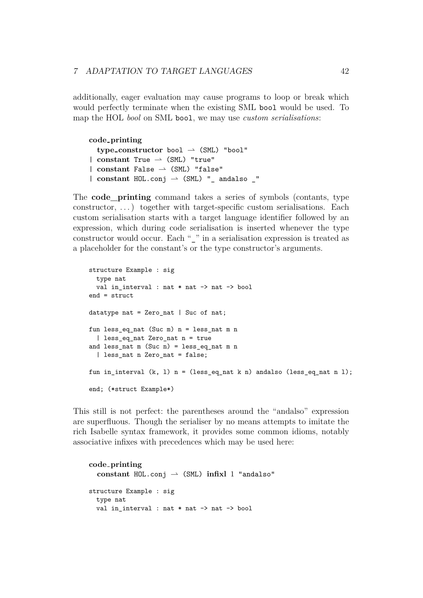additionally, eager evaluation may cause programs to loop or break which would perfectly terminate when the existing SML bool would be used. To map the HOL *bool* on SML bool, we may use *custom serialisations*:

**code printing**  $type\_constructor$  bool  $\rightarrow$  (SML) "bool"  $|$  constant True  $\rightarrow$  (SML) "true"  $|$  constant False  $\rightarrow$  (SML) "false"  $|$  **constant** HOL.conj  $\rightarrow$  (SML) " andalso  $\prime$ "

<span id="page-42-0"></span>The **[code\\_printing](#page-42-0)** command takes a series of symbols (contants, type constructor, . . . ) together with target-specific custom serialisations. Each custom serialisation starts with a target language identifier followed by an expression, which during code serialisation is inserted whenever the type constructor would occur. Each " " in a serialisation expression is treated as a placeholder for the constant's or the type constructor's arguments.

```
structure Example : sig
  type nat
  val in interval : nat * nat -> nat -> bool
end = struct
datatype nat = Zero_nat | Suc of nat;
fun less_eq_nat (Suc m) n = less_nat m n
  | less_eq_nat Zero_nat n = true
and less nat m (Suc n) = less eq nat m n
  | less_nat n Zero_nat = false;
fun in_interval (k, 1) n = (\text{less}_eq_n) and k n) and \text{abs}_eq_n at n \text{log}_eqend; (*struct Example*)
```
This still is not perfect: the parentheses around the "andalso" expression are superfluous. Though the serialiser by no means attempts to imitate the rich Isabelle syntax framework, it provides some common idioms, notably associative infixes with precedences which may be used here:

```
code printing
  constant HOL.comj \rightharpoonup (SML) infixl 1 "andalso"
structure Example : sig
  type nat
  val in_interval : nat * nat -> nat -> bool
```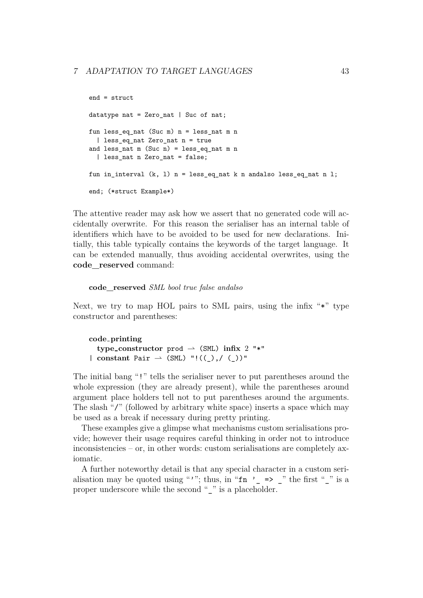```
end = struct
datatype nat = Zero_nat | Suc of nat;
fun less_eq_nat (Suc m) n = less_nat m n
  | less_eq_nat Zero_nat n = true
and less_nat m (Suc n) = less_eq_nat m n
  | less nat n Zero nat = false;
fun in_interval (k, l) n = less_eq_nat k n andalso less_eq_nat n l;
end; (*struct Example*)
```
The attentive reader may ask how we assert that no generated code will accidentally overwrite. For this reason the serialiser has an internal table of identifiers which have to be avoided to be used for new declarations. Initially, this table typically contains the keywords of the target language. It can be extended manually, thus avoiding accidental overwrites, using the **[code\\_reserved](#page-43-0)** command:

<span id="page-43-0"></span>**code\_reserved** *SML bool true false andalso*

Next, we try to map HOL pairs to SML pairs, using the infix "\*" type constructor and parentheses:

**code printing type\_constructor** prod  $\rightarrow$  (SML) infix 2 "\*"  $|$  constant Pair  $\rightarrow$  (SML) "!((),/())"

The initial bang "!" tells the serialiser never to put parentheses around the whole expression (they are already present), while the parentheses around argument place holders tell not to put parentheses around the arguments. The slash "/" (followed by arbitrary white space) inserts a space which may be used as a break if necessary during pretty printing.

These examples give a glimpse what mechanisms custom serialisations provide; however their usage requires careful thinking in order not to introduce inconsistencies – or, in other words: custom serialisations are completely axiomatic.

A further noteworthy detail is that any special character in a custom serialisation may be quoted using "'"; thus, in " $fn$  ' => " the first "" is a proper underscore while the second " " is a placeholder.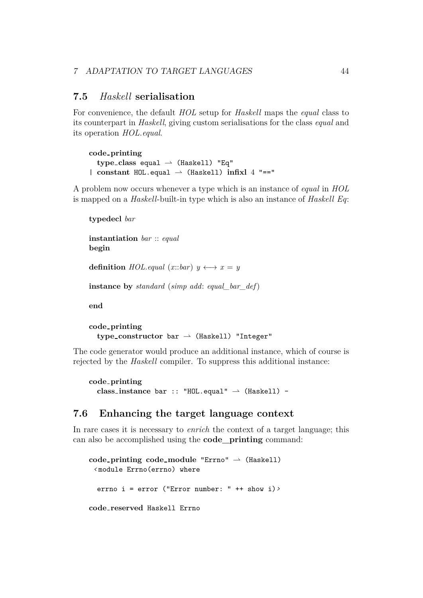## **7.5** *Haskell* **serialisation**

For convenience, the default *HOL* setup for *Haskell* maps the *equal* class to its counterpart in *Haskell*, giving custom serialisations for the class *equal* and its operation *HOL*.*equal*.

```
code printing
  type\_class equal \rightarrow (Haskell) "Eq"
| constant HOL. equal \rightarrow (Haskell) infixl 4 "=="
```
A problem now occurs whenever a type which is an instance of *equal* in *HOL* is mapped on a *Haskell*-built-in type which is also an instance of *Haskell Eq*:

```
typedecl bar
instantiation bar :: equal
begin
definition HOLequal (x::bar) y \leftrightarrow x = yinstance by standard (simp add: equal_bar_def)
end
code printing
```

```
type\_constructor bar \rightarrow (Haskell) "Integer"
```
The code generator would produce an additional instance, which of course is rejected by the *Haskell* compiler. To suppress this additional instance:

```
code printing
  class{\_} instance bar :: "HOL.equal" \rightarrow (Haskell) -
```
## <span id="page-44-0"></span>**7.6 Enhancing the target language context**

In rare cases it is necessary to *enrich* the context of a target language; this can also be accomplished using the **[code\\_printing](#page-42-0)** command:

```
code-printing code-module "Errno" \rightarrow (Haskell)
 ‹ module Errno(errno) where
  errno i = error ("Error number: " ++ show i)›
code reserved Haskell Errno
```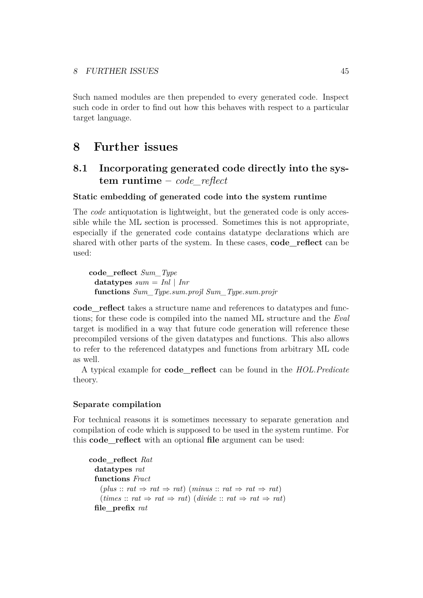Such named modules are then prepended to every generated code. Inspect such code in order to find out how this behaves with respect to a particular target language.

## <span id="page-45-0"></span>**8 Further issues**

## **8.1 Incorporating generated code directly into the system runtime –** *code\_reflect*

## **Static embedding of generated code into the system runtime**

The *[code](#page-27-1)* antiquotation is lightweight, but the generated code is only accessible while the ML section is processed. Sometimes this is not appropriate, especially if the generated code contains datatype declarations which are shared with other parts of the system. In these cases, **[code\\_reflect](#page-45-1)** can be used:

<span id="page-45-1"></span>**code\_reflect** *Sum\_Type* **datatypes** *sum* = *Inl* | *Inr* **functions** *Sum\_Type*.*sum*.*projl Sum\_Type*.*sum*.*projr*

**[code\\_reflect](#page-45-1)** takes a structure name and references to datatypes and functions; for these code is compiled into the named ML structure and the *Eval* target is modified in a way that future code generation will reference these precompiled versions of the given datatypes and functions. This also allows to refer to the referenced datatypes and functions from arbitrary ML code as well.

A typical example for **[code\\_reflect](#page-45-1)** can be found in the *HOL*.*Predicate* theory.

### **Separate compilation**

For technical reasons it is sometimes necessary to separate generation and compilation of code which is supposed to be used in the system runtime. For this **[code\\_reflect](#page-45-1)** with an optional **file** argument can be used:

```
code_reflect Rat
   datatypes rat
   functions Fract
       (\textit{plus} :: \textit{rat} \Rightarrow \textit{rat} \Rightarrow \textit{rat}) (\textit{minus} :: \textit{rat} \Rightarrow \textit{rat} \Rightarrow \textit{rat})(\text{times} :: \text{rat} \Rightarrow \text{rat} \Rightarrow \text{rat}) (\text{divide} :: \text{rat} \Rightarrow \text{rat} \Rightarrow \text{rat})file_prefix rat
```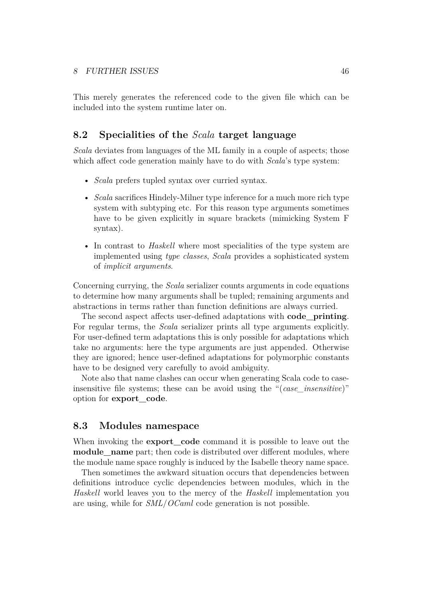This merely generates the referenced code to the given file which can be included into the system runtime later on.

## <span id="page-46-0"></span>**8.2 Specialities of the** *Scala* **target language**

*Scala* deviates from languages of the ML family in a couple of aspects; those which affect code generation mainly have to do with *Scala*'s type system:

- *Scala* prefers tupled syntax over curried syntax.
- *Scala* sacrifices Hindely-Milner type inference for a much more rich type system with subtyping etc. For this reason type arguments sometimes have to be given explicitly in square brackets (mimicking System F syntax).
- In contrast to *Haskell* where most specialities of the type system are implemented using *type classes*, *Scala* provides a sophisticated system of *implicit arguments*.

Concerning currying, the *Scala* serializer counts arguments in code equations to determine how many arguments shall be tupled; remaining arguments and abstractions in terms rather than function definitions are always curried.

The second aspect affects user-defined adaptations with **[code\\_printing](#page-42-0)**. For regular terms, the *Scala* serializer prints all type arguments explicitly. For user-defined term adaptations this is only possible for adaptations which take no arguments: here the type arguments are just appended. Otherwise they are ignored; hence user-defined adaptations for polymorphic constants have to be designed very carefully to avoid ambiguity.

Note also that name clashes can occur when generating Scala code to caseinsensitive file systems; these can be avoid using the "(*case\_insensitive*)" option for **[export\\_code](#page-2-0)**.

#### **8.3 Modules namespace**

When invoking the **export** code command it is possible to leave out the **module** name part; then code is distributed over different modules, where the module name space roughly is induced by the Isabelle theory name space.

Then sometimes the awkward situation occurs that dependencies between definitions introduce cyclic dependencies between modules, which in the *Haskell* world leaves you to the mercy of the *Haskell* implementation you are using, while for *SML*/*OCaml* code generation is not possible.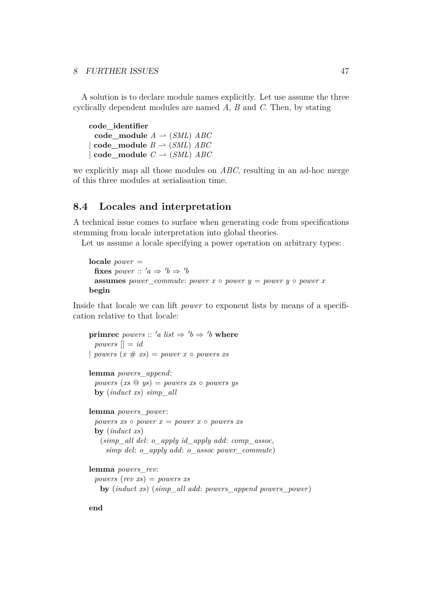A solution is to declare module names explicitly. Let use assume the three cyclically dependent modules are named *A*, *B* and *C*. Then, by stating

**code\_identifier**  $code$ <sub>*module*  $A \rightarrow (SML)$  *ABC*</sub>  $\textbf{code}$  module  $B \rightarrow (SML)$  *ABC*  $\textbf{code\_module} \quad C \rightarrow (SML) \quad ABC$ 

we explicitly map all those modules on *ABC*, resulting in an ad-hoc merge of this three modules at serialisation time.

## **8.4 Locales and interpretation**

A technical issue comes to surface when generating code from specifications stemming from locale interpretation into global theories.

Let us assume a locale specifying a power operation on arbitrary types:

**locale** *power* = **fixes** *power* ::  $'a \Rightarrow b \Rightarrow b$ **assumes** *power\_commute: power x* ◦ *power y* = *power y* ◦ *power x* **begin**

Inside that locale we can lift *power* to exponent lists by means of a specification relative to that locale:

**primrec** *powers* :: 'a list  $\Rightarrow$  'b  $\Rightarrow$  'b **where** *powers*  $\vert \vert = id$ | *powers*  $(x \# xs) = power x \circ powers xs$ 

**lemma** *powers\_append*:

 $powers (xs \tQys) = powers xs \tO\r$ **by** (*induct xs*) *simp\_all*

**lemma** *powers\_power*: *powers xs*  $\circ$  *power x* = *power x*  $\circ$  *powers xs* **by** (*induct xs*) (*simp\_all del*: *o\_apply id\_apply add*: *comp\_assoc*, *simp del*: *o\_apply add*: *o\_assoc power\_commute*)

**lemma** *powers\_rev*:

*powers* (*rev xs*) = *powers xs* **by** (*induct xs*) (*simp\_all add*: *powers\_append powers\_power*)

**end**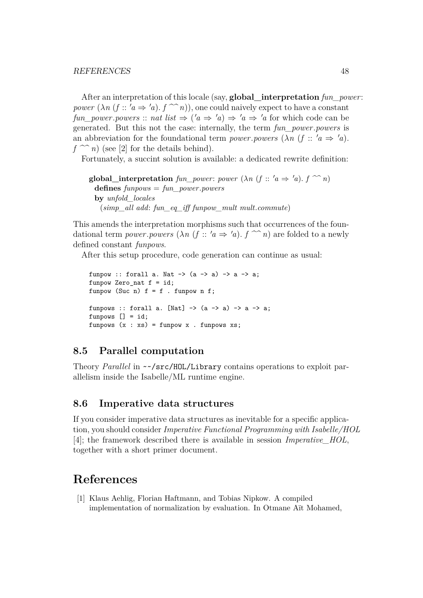<span id="page-48-1"></span>After an interpretation of this locale (say, **[global\\_interpretation](#page-48-1)** *fun\_power*: *power*  $(\lambda n \ (f :: \ 'a \Rightarrow \ 'a) \ f \n\hat{\ } \ n)$ , one could naively expect to have a constant *fun\_power*.*powers* :: *nat list*  $\Rightarrow$   $(a \Rightarrow 'a) \Rightarrow 'a \Rightarrow 'a$  for which code can be generated. But this not the case: internally, the term *fun\_power*.*powers* is an abbreviation for the foundational term *power.powers*  $(\lambda n)(f : a \Rightarrow 'a)$ .  $f \nightharpoonup n$  (see [\[2\]](#page-49-9) for the details behind).

Fortunately, a succint solution is available: a dedicated rewrite definition:

**global** interpretation *fun power*: *power*  $(\lambda n)(f : a \Rightarrow 'a)$ .  $f \sim n$ **defines** *funpows* = *fun\_power*.*powers* **by** *unfold\_locales* (*simp\_all add*: *fun\_eq\_iff funpow\_mult mult*.*commute*)

This amends the interpretation morphisms such that occurrences of the foundational term *power*.*powers*  $(\lambda n \ (f \ :: 'a \Rightarrow 'a) \ f \n\sim n)$  are folded to a newly defined constant *funpows*.

After this setup procedure, code generation can continue as usual:

```
funpow :: forall a. Nat \rightarrow (a \rightarrow a) \rightarrow a \rightarrow a;
funpow Zero_nat f = id;funpow (Suc n) f = f. funpow n f;
funpows :: forall a. [Nat] \rightarrow (a \rightarrow a) \rightarrow a \rightarrow a;
funpows [] = id;funpows (x : xs) = funpow x. funpows xs;
```
## **8.5 Parallel computation**

Theory *Parallel* in ~~/src/HOL/Library contains operations to exploit parallelism inside the Isabelle/ML runtime engine.

### **8.6 Imperative data structures**

If you consider imperative data structures as inevitable for a specific application, you should consider *Imperative Functional Programming with Isabelle/HOL* [\[4\]](#page-49-10); the framework described there is available in session *Imperative\_HOL*, together with a short primer document.

## **References**

<span id="page-48-0"></span>[1] Klaus Aehlig, Florian Haftmann, and Tobias Nipkow. A compiled implementation of normalization by evaluation. In Otmane Aït Mohamed,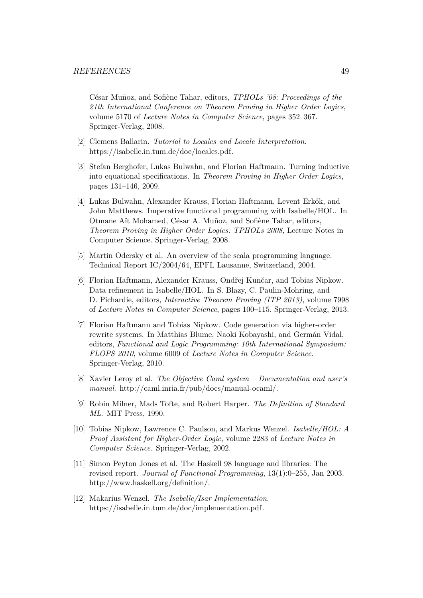César Muñoz, and Sofiène Tahar, editors, *TPHOLs '08: Proceedings of the 21th International Conference on Theorem Proving in Higher Order Logics*, volume 5170 of *Lecture Notes in Computer Science*, pages 352–367. Springer-Verlag, 2008.

- <span id="page-49-9"></span>[2] Clemens Ballarin. *Tutorial to Locales and Locale Interpretation*. [https://isabelle.in.tum.de/doc/locales.pdf.](https://isabelle.in.tum.de/doc/locales.pdf)
- <span id="page-49-7"></span>[3] Stefan Berghofer, Lukas Bulwahn, and Florian Haftmann. Turning inductive into equational specifications. In *Theorem Proving in Higher Order Logics*, pages 131–146, 2009.
- <span id="page-49-10"></span>[4] Lukas Bulwahn, Alexander Krauss, Florian Haftmann, Levent Erkök, and John Matthews. Imperative functional programming with Isabelle/HOL. In Otmane Aït Mohamed, César A. Muñoz, and Sofiène Tahar, editors, *Theorem Proving in Higher Order Logics: TPHOLs 2008*, Lecture Notes in Computer Science. Springer-Verlag, 2008.
- <span id="page-49-3"></span>[5] Martin Odersky et al. An overview of the scala programming language. Technical Report IC/2004/64, EPFL Lausanne, Switzerland, 2004.
- <span id="page-49-6"></span>[6] Florian Haftmann, Alexander Krauss, Ondřej Kunčar, and Tobias Nipkow. Data refinement in Isabelle/HOL. In S. Blazy, C. Paulin-Mohring, and D. Pichardie, editors, *Interactive Theorem Proving (ITP 2013)*, volume 7998 of *Lecture Notes in Computer Science*, pages 100–115. Springer-Verlag, 2013.
- <span id="page-49-5"></span>[7] Florian Haftmann and Tobias Nipkow. Code generation via higher-order rewrite systems. In Matthias Blume, Naoki Kobayashi, and Germán Vidal, editors, *Functional and Logic Programming: 10th International Symposium: FLOPS 2010*, volume 6009 of *Lecture Notes in Computer Science*. Springer-Verlag, 2010.
- <span id="page-49-1"></span>[8] Xavier Leroy et al. *The Objective Caml system – Documentation and user's manual*. [http://caml.inria.fr/pub/docs/manual-ocaml/.](http://caml.inria.fr/pub/docs/manual-ocaml/)
- <span id="page-49-0"></span>[9] Robin Milner, Mads Tofte, and Robert Harper. *The Definition of Standard ML*. MIT Press, 1990.
- <span id="page-49-4"></span>[10] Tobias Nipkow, Lawrence C. Paulson, and Markus Wenzel. *Isabelle/HOL: A Proof Assistant for Higher-Order Logic*, volume 2283 of *Lecture Notes in Computer Science*. Springer-Verlag, 2002.
- <span id="page-49-2"></span>[11] Simon Peyton Jones et al. The Haskell 98 language and libraries: The revised report. *Journal of Functional Programming*, 13(1):0–255, Jan 2003. [http://www.haskell.org/definition/.](http://www.haskell.org/definition/)
- <span id="page-49-8"></span>[12] Makarius Wenzel. *The Isabelle/Isar Implementation*. [https://isabelle.in.tum.de/doc/implementation.pdf.](https://isabelle.in.tum.de/doc/implementation.pdf)